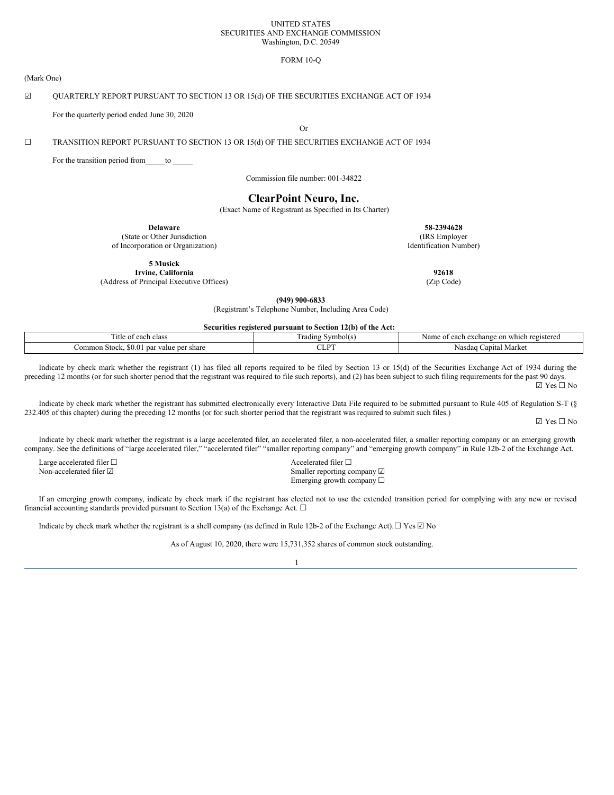#### UNITED STATES SECURITIES AND EXCHANGE COMMISSION Washington, D.C. 20549

### FORM 10-Q

(Mark One)

## ☑ QUARTERLY REPORT PURSUANT TO SECTION 13 OR 15(d) OF THE SECURITIES EXCHANGE ACT OF 1934

For the quarterly period ended June 30, 2020

Or

☐ TRANSITION REPORT PURSUANT TO SECTION 13 OR 15(d) OF THE SECURITIES EXCHANGE ACT OF 1934

For the transition period from \_\_\_\_\_to \_\_\_\_\_

Commission file number: 001-34822

# **ClearPoint Neuro, Inc.**

(Exact Name of Registrant as Specified in Its Charter)

**Delaware 58-2394628**<br> **F** Other Jurisdiction **1986**<br> **58-2394628**<br> **F** Other Jurisdiction (State or Other Jurisdiction of Incorporation or Organization) Identification Number)

**5 Musick Irvine, California 92618**

(Address of Principal Executive Offices) (Zip Code)

**(949) 900-6833**

(Registrant's Telephone Number, Including Area Code)

| 12(b) of the Act:<br>Securities registered pursuant to Section |                             |                                           |  |  |  |  |  |
|----------------------------------------------------------------|-----------------------------|-------------------------------------------|--|--|--|--|--|
| Title of each class                                            | rading Symbol(s)            | Name of each exchange on which registered |  |  |  |  |  |
| Common Stock. \$0.01<br>par value per share                    | $\cap$ t d $\Gamma$<br>لللب | Capital Market<br>Nasdag (                |  |  |  |  |  |

Indicate by check mark whether the registrant (1) has filed all reports required to be filed by Section 13 or 15(d) of the Securities Exchange Act of 1934 during the preceding 12 months (or for such shorter period that the registrant was required to file such reports), and (2) has been subject to such filing requirements for the past 90 days.  $\Box$  Yes  $\Box$  No

Indicate by check mark whether the registrant has submitted electronically every Interactive Data File required to be submitted pursuant to Rule 405 of Regulation S-T (§ 232.405 of this chapter) during the preceding 12 months (or for such shorter period that the registrant was required to submit such files.)

☑ Yes ☐ No

Indicate by check mark whether the registrant is a large accelerated filer, an accelerated filer, a non-accelerated filer, a smaller reporting company or an emerging growth company. See the definitions of "large accelerated filer," "accelerated filer" "smaller reporting company" and "emerging growth company" in Rule 12b-2 of the Exchange Act.

Large accelerated filer  $\Box$ <br>
Non-accelerated filer  $\Box$ <br>
Non-accelerated filer  $\Box$ 

Smaller reporting company  $\boxtimes$ Emerging growth company  $\Box$ 

If an emerging growth company, indicate by check mark if the registrant has elected not to use the extended transition period for complying with any new or revised financial accounting standards provided pursuant to Section 13(a) of the Exchange Act.  $\Box$ 

Indicate by check mark whether the registrant is a shell company (as defined in Rule 12b-2 of the Exchange Act).☐ Yes ☑ No

As of August 10, 2020, there were 15,731,352 shares of common stock outstanding.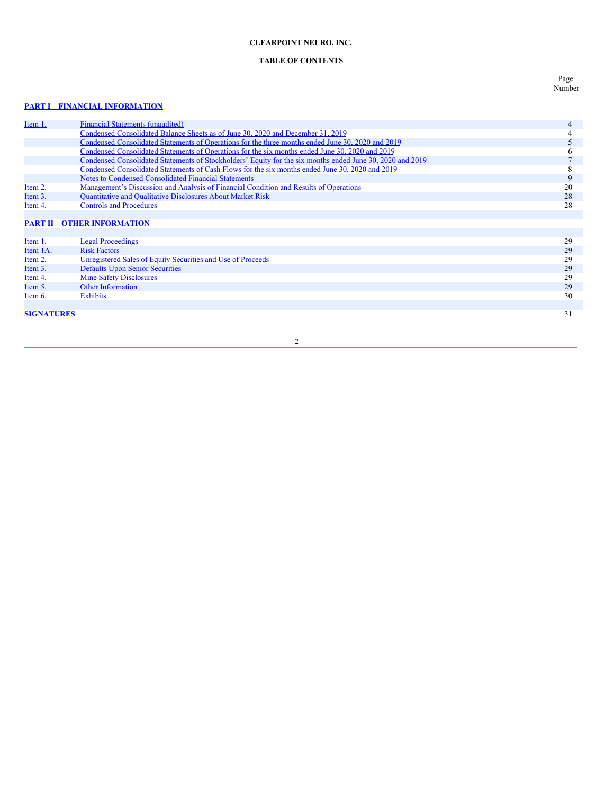# **CLEARPOINT NEURO, INC.**

# **TABLE OF CONTENTS**

**PART I – FINANCIAL [INFORMATION](#page-3-0)**

| Item 1.   | Financial Statements (unaudited)                                                                          | 4  |
|-----------|-----------------------------------------------------------------------------------------------------------|----|
|           | Condensed Consolidated Balance Sheets as of June 30, 2020 and December 31, 2019                           |    |
|           | Condensed Consolidated Statements of Operations for the three months ended June 30, 2020 and 2019         |    |
|           | Condensed Consolidated Statements of Operations for the six months ended June 30, 2020 and 2019           | 6  |
|           | Condensed Consolidated Statements of Stockholders' Equity for the six months ended June 30, 2020 and 2019 |    |
|           | Condensed Consolidated Statements of Cash Flows for the six months ended June 30, 2020 and 2019           | 8  |
|           | <b>Notes to Condensed Consolidated Financial Statements</b>                                               | 9  |
| Item 2.   | Management's Discussion and Analysis of Financial Condition and Results of Operations                     | 20 |
| Item 3.   | Quantitative and Qualitative Disclosures About Market Risk                                                | 28 |
| Item 4.   | <b>Controls and Procedures</b>                                                                            | 28 |
|           |                                                                                                           |    |
|           | <b>PART II - OTHER INFORMATION</b>                                                                        |    |
|           |                                                                                                           |    |
| Item 1.   | <b>Legal Proceedings</b>                                                                                  | 29 |
| Item 1A.  | <b>Risk Factors</b>                                                                                       | 29 |
| Item 2.   | Unregistered Sales of Equity Securities and Use of Proceeds                                               | 29 |
| Item 3.   | <b>Defaults Upon Senior Securities</b>                                                                    | 29 |
| Item 4.   | <b>Mine Safety Disclosures</b>                                                                            | 29 |
| Item 5.   | <b>Other Information</b>                                                                                  | 29 |
| Item $6.$ | Exhibits                                                                                                  | 30 |
|           |                                                                                                           |    |

### **[SIGNATURES](#page-30-0)** 31

2

Page Number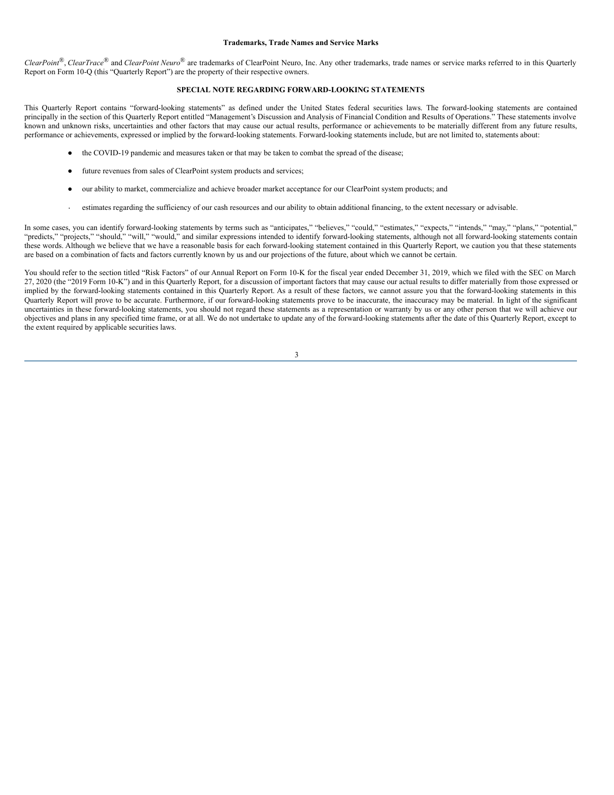### **Trademarks, Trade Names and Service Marks**

*ClearPoint*®, *ClearTrace*® and *ClearPoint Neuro*® are trademarks of ClearPoint Neuro, Inc. Any other trademarks, trade names or service marks referred to in this Quarterly Report on Form 10-Q (this "Quarterly Report") are the property of their respective owners.

## **SPECIAL NOTE REGARDING FORWARD-LOOKING STATEMENTS**

This Quarterly Report contains "forward-looking statements" as defined under the United States federal securities laws. The forward-looking statements are contained principally in the section of this Quarterly Report entitled "Management's Discussion and Analysis of Financial Condition and Results of Operations." These statements involve known and unknown risks, uncertainties and other factors that may cause our actual results, performance or achievements to be materially different from any future results, performance or achievements, expressed or implied by the forward-looking statements. Forward-looking statements include, but are not limited to, statements about:

- the COVID-19 pandemic and measures taken or that may be taken to combat the spread of the disease;
- future revenues from sales of ClearPoint system products and services;
- our ability to market, commercialize and achieve broader market acceptance for our ClearPoint system products; and
- · estimates regarding the sufficiency of our cash resources and our ability to obtain additional financing, to the extent necessary or advisable.

In some cases, you can identify forward-looking statements by terms such as "anticipates," "believes," "could," "estimates," "expects," "intends," "may," "plans," "potential," "predicts," "projects," "should," "will," "would," and similar expressions intended to identify forward-looking statements, although not all forward-looking statements contain these words. Although we believe that we have a reasonable basis for each forward-looking statement contained in this Quarterly Report, we caution you that these statements are based on a combination of facts and factors currently known by us and our projections of the future, about which we cannot be certain.

You should refer to the section titled "Risk Factors" of our Annual Report on Form 10-K for the fiscal year ended December 31, 2019, which we filed with the SEC on March 27, 2020 (the "2019 Form 10-K") and in this Quarterly Report, for a discussion of important factors that may cause our actual results to differ materially from those expressed or implied by the forward-looking statements contained in this Quarterly Report. As a result of these factors, we cannot assure you that the forward-looking statements in this Quarterly Report will prove to be accurate. Furthermore, if our forward-looking statements prove to be inaccurate, the inaccuracy may be material. In light of the significant uncertainties in these forward-looking statements, you should not regard these statements as a representation or warranty by us or any other person that we will achieve our objectives and plans in any specified time frame, or at all. We do not undertake to update any of the forward-looking statements after the date of this Quarterly Report, except to the extent required by applicable securities laws.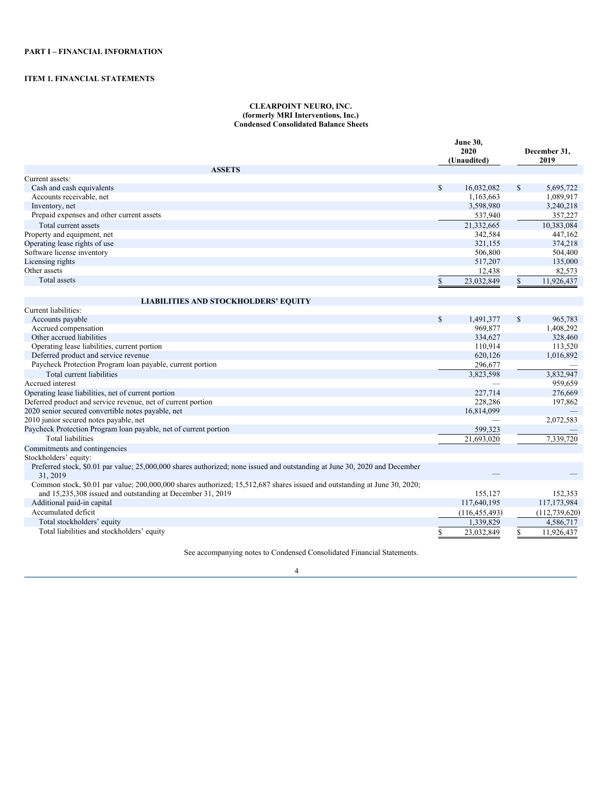# <span id="page-3-2"></span><span id="page-3-1"></span><span id="page-3-0"></span>**ITEM 1. FINANCIAL STATEMENTS**

#### **CLEARPOINT NEURO, INC. (formerly MRI Interventions, Inc.) Condensed Consolidated Balance Sheets**

|                                                                                                                                                                                         |              | <b>June 30,</b><br>2020<br>(Unaudited) |              | December 31.<br>2019 |
|-----------------------------------------------------------------------------------------------------------------------------------------------------------------------------------------|--------------|----------------------------------------|--------------|----------------------|
| <b>ASSETS</b>                                                                                                                                                                           |              |                                        |              |                      |
| Current assets:                                                                                                                                                                         |              |                                        |              |                      |
| Cash and cash equivalents                                                                                                                                                               | $\mathbb{S}$ | 16,032,082                             | $\mathbb{S}$ | 5,695,722            |
| Accounts receivable, net                                                                                                                                                                |              | 1,163,663                              |              | 1,089,917            |
| Inventory, net                                                                                                                                                                          |              | 3,598,980                              |              | 3,240,218            |
| Prepaid expenses and other current assets                                                                                                                                               |              | 537,940                                |              | 357,227              |
| Total current assets                                                                                                                                                                    |              | 21,332,665                             |              | 10,383,084           |
| Property and equipment, net                                                                                                                                                             |              | 342,584                                |              | 447,162              |
| Operating lease rights of use                                                                                                                                                           |              | 321,155                                |              | 374,218              |
| Software license inventory                                                                                                                                                              |              | 506,800                                |              | 504,400              |
| Licensing rights                                                                                                                                                                        |              | 517,207                                |              | 135,000              |
| Other assets                                                                                                                                                                            |              | 12,438                                 |              | 82,573               |
| <b>Total assets</b>                                                                                                                                                                     | $\mathbb{S}$ | 23,032,849                             | $\mathbb{S}$ | 11,926,437           |
| <b>LIABILITIES AND STOCKHOLDERS' EQUITY</b>                                                                                                                                             |              |                                        |              |                      |
| Current liabilities:                                                                                                                                                                    |              |                                        |              |                      |
| Accounts payable                                                                                                                                                                        | $\mathbf S$  | 1,491,377                              | $\mathbb{S}$ | 965,783              |
| Accrued compensation                                                                                                                                                                    |              | 969,877                                |              | 1,408,292            |
| Other accrued liabilities                                                                                                                                                               |              | 334,627                                |              | 328,460              |
| Operating lease liabilities, current portion                                                                                                                                            |              | 110,914                                |              | 113,520              |
| Deferred product and service revenue                                                                                                                                                    |              | 620,126                                |              | 1,016,892            |
| Paycheck Protection Program loan payable, current portion                                                                                                                               |              | 296,677                                |              |                      |
| Total current liabilities                                                                                                                                                               |              | 3,823,598                              |              | 3,832,947            |
| Accrued interest                                                                                                                                                                        |              |                                        |              | 959,659              |
| Operating lease liabilities, net of current portion                                                                                                                                     |              | 227,714                                |              | 276,669              |
| Deferred product and service revenue, net of current portion                                                                                                                            |              | 228,286                                |              | 197,862              |
| 2020 senior secured convertible notes payable, net                                                                                                                                      |              | 16,814,099                             |              |                      |
| 2010 junior secured notes payable, net                                                                                                                                                  |              |                                        |              | 2,072,583            |
| Paycheck Protection Program loan payable, net of current portion                                                                                                                        |              | 599,323                                |              |                      |
| <b>Total liabilities</b>                                                                                                                                                                |              | 21,693,020                             |              | 7.339.720            |
| Commitments and contingencies                                                                                                                                                           |              |                                        |              |                      |
| Stockholders' equity:                                                                                                                                                                   |              |                                        |              |                      |
| Preferred stock, \$0.01 par value; 25,000,000 shares authorized; none issued and outstanding at June 30, 2020 and December<br>31, 2019                                                  |              |                                        |              |                      |
| Common stock, \$0.01 par value; 200,000,000 shares authorized; 15,512,687 shares issued and outstanding at June 30, 2020;<br>and 15,235,308 issued and outstanding at December 31, 2019 |              | 155,127                                |              | 152,353              |
| Additional paid-in capital                                                                                                                                                              |              | 117,640,195                            |              | 117,173,984          |
| Accumulated deficit                                                                                                                                                                     |              |                                        |              |                      |
|                                                                                                                                                                                         |              | (116, 455, 493)                        |              | (112, 739, 620)      |
| Total stockholders' equity                                                                                                                                                              |              | 1,339,829                              |              | 4,586,717            |
| Total liabilities and stockholders' equity                                                                                                                                              |              | 23,032,849                             |              | 11,926,437           |

See accompanying notes to Condensed Consolidated Financial Statements.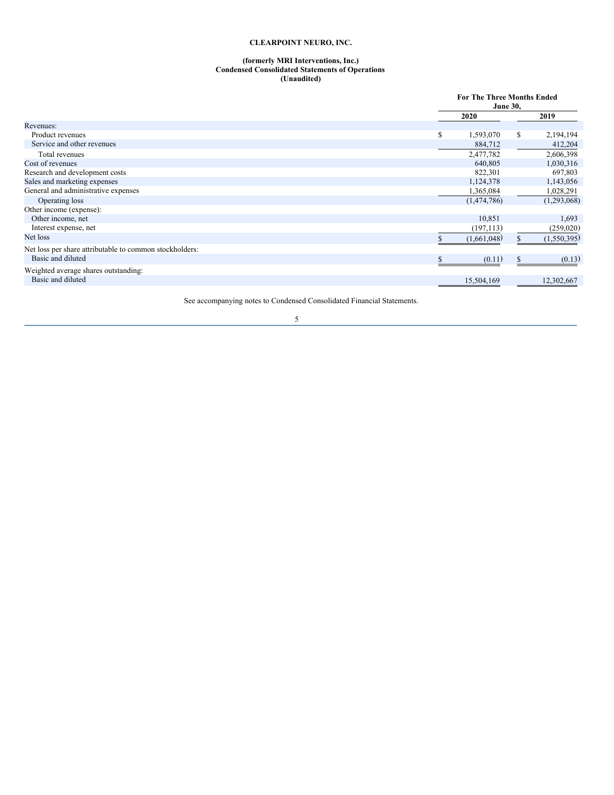## **CLEARPOINT NEURO, INC.**

### **(formerly MRI Interventions, Inc.) Condensed Consolidated Statements of Operations (Unaudited)**

<span id="page-4-0"></span>

|                                                         | <b>For The Three Months Ended</b><br><b>June 30,</b> |    |               |
|---------------------------------------------------------|------------------------------------------------------|----|---------------|
|                                                         | 2020                                                 |    | 2019          |
| Revenues:                                               |                                                      |    |               |
| Product revenues                                        | \$<br>1,593,070                                      | \$ | 2,194,194     |
| Service and other revenues                              | 884,712                                              |    | 412,204       |
| Total revenues                                          | 2,477,782                                            |    | 2,606,398     |
| Cost of revenues                                        | 640,805                                              |    | 1,030,316     |
| Research and development costs                          | 822,301                                              |    | 697,803       |
| Sales and marketing expenses                            | 1,124,378                                            |    | 1,143,056     |
| General and administrative expenses                     | 1,365,084                                            |    | 1,028,291     |
| Operating loss                                          | (1,474,786)                                          |    | (1,293,068)   |
| Other income (expense):                                 |                                                      |    |               |
| Other income, net                                       | 10,851                                               |    | 1,693         |
| Interest expense, net                                   | (197, 113)                                           |    | (259, 020)    |
| Net loss                                                | (1,661,048)                                          |    | (1, 550, 395) |
| Net loss per share attributable to common stockholders: |                                                      |    |               |
| Basic and diluted                                       | (0.11)                                               | S. | (0.13)        |
| Weighted average shares outstanding:                    |                                                      |    |               |
| Basic and diluted                                       | 15,504,169                                           |    | 12,302,667    |

See accompanying notes to Condensed Consolidated Financial Statements.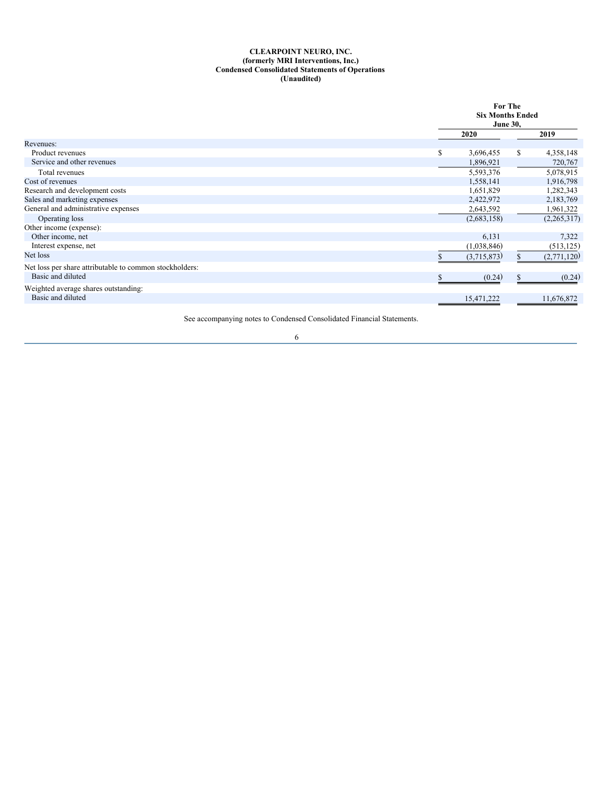## **CLEARPOINT NEURO, INC. (formerly MRI Interventions, Inc.) Condensed Consolidated Statements of Operations (Unaudited)**

<span id="page-5-0"></span>

|                                                         |                 | <b>For The</b><br><b>Six Months Ended</b><br><b>June 30,</b> |             |  |
|---------------------------------------------------------|-----------------|--------------------------------------------------------------|-------------|--|
|                                                         | 2020            |                                                              | 2019        |  |
| Revenues:                                               |                 |                                                              |             |  |
| Product revenues                                        | \$<br>3,696,455 | \$                                                           | 4,358,148   |  |
| Service and other revenues                              | 1,896,921       |                                                              | 720,767     |  |
| Total revenues                                          | 5,593,376       |                                                              | 5,078,915   |  |
| Cost of revenues                                        | 1,558,141       |                                                              | 1,916,798   |  |
| Research and development costs                          | 1,651,829       |                                                              | 1,282,343   |  |
| Sales and marketing expenses                            | 2,422,972       |                                                              | 2,183,769   |  |
| General and administrative expenses                     | 2,643,592       |                                                              | 1,961,322   |  |
| Operating loss                                          | (2,683,158)     |                                                              | (2,265,317) |  |
| Other income (expense):                                 |                 |                                                              |             |  |
| Other income, net                                       |                 | 6,131                                                        | 7,322       |  |
| Interest expense, net                                   | (1,038,846)     |                                                              | (513, 125)  |  |
| Net loss                                                | (3,715,873)     |                                                              | (2,771,120) |  |
| Net loss per share attributable to common stockholders: |                 |                                                              |             |  |
| Basic and diluted                                       |                 | (0.24)                                                       | (0.24)      |  |
| Weighted average shares outstanding:                    |                 |                                                              |             |  |
| Basic and diluted                                       | 15,471,222      |                                                              | 11,676,872  |  |
|                                                         |                 |                                                              |             |  |

See accompanying notes to Condensed Consolidated Financial Statements.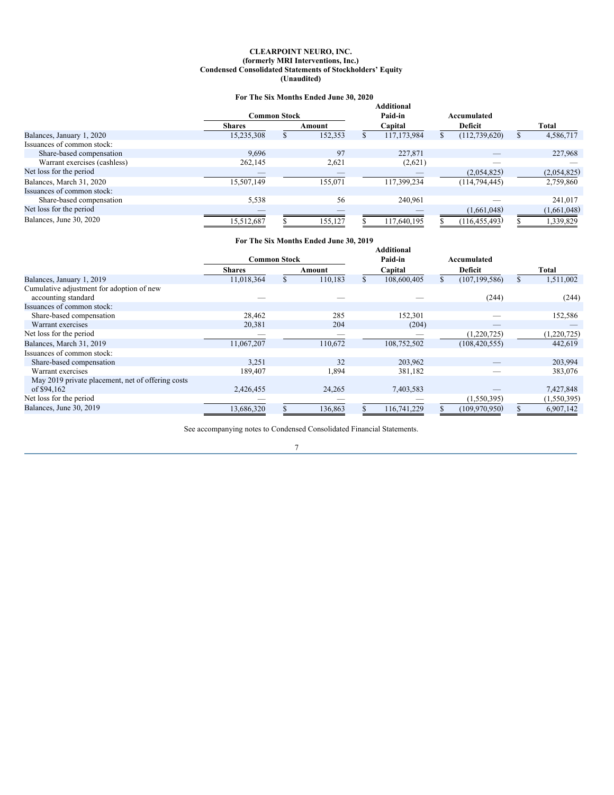## **CLEARPOINT NEURO, INC. (formerly MRI Interventions, Inc.) Condensed Consolidated Statements of Stockholders' Equity (Unaudited)**

### **For The Six Months Ended June 30, 2020**

<span id="page-6-0"></span>

|                              |               | <b>Common Stock</b> |         | <b>Additional</b><br>Paid-in |     | Accumulated     |             |
|------------------------------|---------------|---------------------|---------|------------------------------|-----|-----------------|-------------|
|                              | <b>Shares</b> | Amount              |         | Capital                      |     | Deficit         | Total       |
| Balances, January 1, 2020    | 15,235,308    |                     | 152,353 | 117,173,984                  | Эħ. | (112, 739, 620) | 4,586,717   |
| Issuances of common stock:   |               |                     |         |                              |     |                 |             |
| Share-based compensation     | 9.696         |                     | 97      | 227,871                      |     |                 | 227,968     |
| Warrant exercises (cashless) | 262,145       |                     | 2,621   | (2,621)                      |     |                 |             |
| Net loss for the period      |               |                     |         |                              |     | (2,054,825)     | (2,054,825) |
| Balances, March 31, 2020     | 15,507,149    |                     | 155,071 | 117,399,234                  |     | (114, 794, 445) | 2,759,860   |
| Issuances of common stock:   |               |                     |         |                              |     |                 |             |
| Share-based compensation     | 5,538         |                     | 56      | 240,961                      |     |                 | 241,017     |
| Net loss for the period      |               |                     |         |                              |     | (1,661,048)     | (1,661,048) |
| Balances, June 30, 2020      | 15,512,687    |                     | 155,127 | 117,640,195                  |     | (116, 455, 493) | 1,339,829   |

## **For The Six Months Ended June 30, 2019**

|                                                   |               |                     |         | <b>Additional</b> |                 |               |
|---------------------------------------------------|---------------|---------------------|---------|-------------------|-----------------|---------------|
|                                                   |               | <b>Common Stock</b> |         | Paid-in           | Accumulated     |               |
|                                                   | <b>Shares</b> |                     | Amount  | Capital           | Deficit         | Total         |
| Balances, January 1, 2019                         | 11,018,364    |                     | 110,183 | 108,600,405       | (107, 199, 586) | 1,511,002     |
| Cumulative adjustment for adoption of new         |               |                     |         |                   |                 |               |
| accounting standard                               |               |                     |         |                   | (244)           | (244)         |
| Issuances of common stock:                        |               |                     |         |                   |                 |               |
| Share-based compensation                          | 28,462        |                     | 285     | 152,301           |                 | 152,586       |
| Warrant exercises                                 | 20,381        |                     | 204     | (204)             |                 |               |
| Net loss for the period                           |               |                     |         |                   | (1,220,725)     | (1,220,725)   |
| Balances, March 31, 2019                          | 11,067,207    |                     | 110,672 | 108,752,502       | (108, 420, 555) | 442,619       |
| Issuances of common stock:                        |               |                     |         |                   |                 |               |
| Share-based compensation                          | 3.251         |                     | 32      | 203,962           |                 | 203,994       |
| Warrant exercises                                 | 189,407       |                     | 1,894   | 381,182           |                 | 383,076       |
| May 2019 private placement, net of offering costs |               |                     |         |                   |                 |               |
| of \$94,162                                       | 2,426,455     |                     | 24,265  | 7,403,583         |                 | 7,427,848     |
| Net loss for the period                           |               |                     |         |                   | (1,550,395)     | (1, 550, 395) |
| Balances, June 30, 2019                           | 13,686,320    |                     | 136,863 | 116,741,229       | (109, 970, 950) | 6,907,142     |

See accompanying notes to Condensed Consolidated Financial Statements.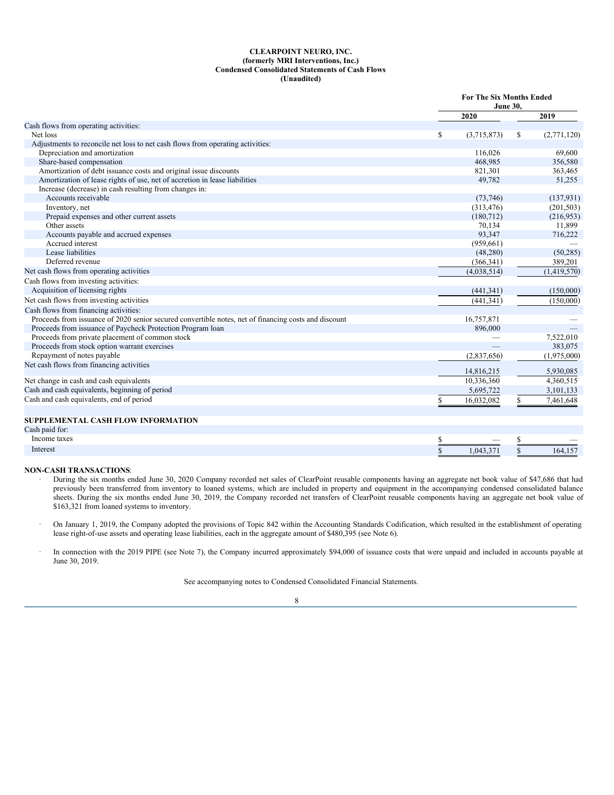## **CLEARPOINT NEURO, INC. (formerly MRI Interventions, Inc.) Condensed Consolidated Statements of Cash Flows (Unaudited)**

<span id="page-7-0"></span>

|                                                                                                      | <b>For The Six Months Ended</b><br><b>June 30.</b> |             |              |               |
|------------------------------------------------------------------------------------------------------|----------------------------------------------------|-------------|--------------|---------------|
|                                                                                                      |                                                    | 2020        |              | 2019          |
| Cash flows from operating activities:                                                                |                                                    |             |              |               |
| Net loss                                                                                             | \$                                                 | (3,715,873) | S            | (2,771,120)   |
| Adjustments to reconcile net loss to net cash flows from operating activities:                       |                                                    |             |              |               |
| Depreciation and amortization                                                                        |                                                    | 116,026     |              | 69,600        |
| Share-based compensation                                                                             |                                                    | 468,985     |              | 356,580       |
| Amortization of debt issuance costs and original issue discounts                                     |                                                    | 821,301     |              | 363,465       |
| Amortization of lease rights of use, net of accretion in lease liabilities                           |                                                    | 49,782      |              | 51,255        |
| Increase (decrease) in cash resulting from changes in:                                               |                                                    |             |              |               |
| Accounts receivable                                                                                  |                                                    | (73, 746)   |              | (137, 931)    |
| Inventory, net                                                                                       |                                                    | (313, 476)  |              | (201, 503)    |
| Prepaid expenses and other current assets                                                            |                                                    | (180, 712)  |              | (216,953)     |
| Other assets                                                                                         |                                                    | 70,134      |              | 11,899        |
| Accounts payable and accrued expenses                                                                |                                                    | 93,347      |              | 716,222       |
| Accrued interest                                                                                     |                                                    | (959, 661)  |              |               |
| Lease liabilities                                                                                    |                                                    | (48, 280)   |              | (50, 285)     |
| Deferred revenue                                                                                     |                                                    | (366, 341)  |              | 389,201       |
| Net cash flows from operating activities                                                             |                                                    | (4,038,514) |              | (1, 419, 570) |
| Cash flows from investing activities:                                                                |                                                    |             |              |               |
| Acquisition of licensing rights                                                                      |                                                    | (441, 341)  |              | (150,000)     |
| Net cash flows from investing activities                                                             |                                                    | (441, 341)  |              | (150,000)     |
| Cash flows from financing activities:                                                                |                                                    |             |              |               |
| Proceeds from issuance of 2020 senior secured convertible notes, net of financing costs and discount |                                                    | 16,757,871  |              |               |
| Proceeds from issuance of Paycheck Protection Program loan                                           |                                                    | 896,000     |              |               |
| Proceeds from private placement of common stock                                                      |                                                    |             |              | 7,522,010     |
| Proceeds from stock option warrant exercises                                                         |                                                    |             |              | 383,075       |
| Repayment of notes payable                                                                           |                                                    | (2,837,656) |              | (1,975,000)   |
| Net cash flows from financing activities                                                             |                                                    |             |              |               |
|                                                                                                      |                                                    | 14,816,215  |              | 5,930,085     |
| Net change in cash and cash equivalents                                                              |                                                    | 10,336,360  |              | 4,360,515     |
| Cash and cash equivalents, beginning of period                                                       |                                                    | 5,695,722   |              | 3,101,133     |
| Cash and cash equivalents, end of period                                                             | \$                                                 | 16,032,082  | \$           | 7,461,648     |
|                                                                                                      |                                                    |             |              |               |
| SUPPLEMENTAL CASH FLOW INFORMATION                                                                   |                                                    |             |              |               |
| Cash paid for:                                                                                       |                                                    |             |              |               |
| Income taxes                                                                                         | \$                                                 |             |              |               |
| Interest                                                                                             | \$                                                 | 1.043.371   | $\mathbb{S}$ | 164,157       |

## **NON-CASH TRANSACTIONS**:

- · During the six months ended June 30, 2020 Company recorded net sales of ClearPoint reusable components having an aggregate net book value of \$47,686 that had previously been transferred from inventory to loaned systems, which are included in property and equipment in the accompanying condensed consolidated balance sheets. During the six months ended June 30, 2019, the Company recorded net transfers of ClearPoint reusable components having an aggregate net book value of \$163,321 from loaned systems to inventory.
- · On January 1, 2019, the Company adopted the provisions of Topic 842 within the Accounting Standards Codification, which resulted in the establishment of operating lease right-of-use assets and operating lease liabilities, each in the aggregate amount of \$480,395 (see Note 6).
- In connection with the 2019 PIPE (see Note 7), the Company incurred approximately \$94,000 of issuance costs that were unpaid and included in accounts payable at June 30, 2019.

See accompanying notes to Condensed Consolidated Financial Statements.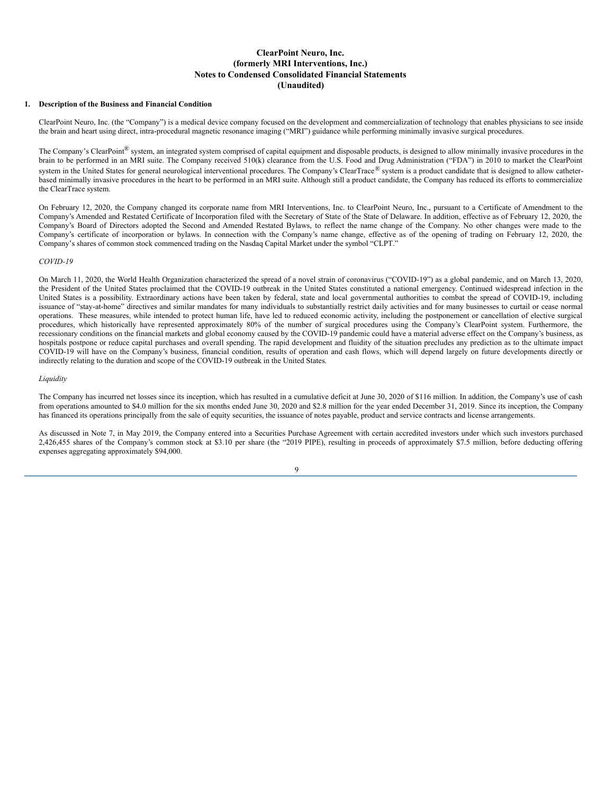## <span id="page-8-0"></span>**1. Description of the Business and Financial Condition**

ClearPoint Neuro, Inc. (the "Company") is a medical device company focused on the development and commercialization of technology that enables physicians to see inside the brain and heart using direct, intra-procedural magnetic resonance imaging ("MRI") guidance while performing minimally invasive surgical procedures.

The Company's ClearPoint<sup>®</sup> system, an integrated system comprised of capital equipment and disposable products, is designed to allow minimally invasive procedures in the brain to be performed in an MRI suite. The Company received 510(k) clearance from the U.S. Food and Drug Administration ("FDA") in 2010 to market the ClearPoint system in the United States for general neurological interventional procedures. The Company's ClearTrace® system is a product candidate that is designed to allow catheterbased minimally invasive procedures in the heart to be performed in an MRI suite. Although still a product candidate, the Company has reduced its efforts to commercialize the ClearTrace system.

On February 12, 2020, the Company changed its corporate name from MRI Interventions, Inc. to ClearPoint Neuro, Inc., pursuant to a Certificate of Amendment to the Company's Amended and Restated Certificate of Incorporation filed with the Secretary of State of the State of Delaware. In addition, effective as of February 12, 2020, the Company's Board of Directors adopted the Second and Amended Restated Bylaws, to reflect the name change of the Company. No other changes were made to the Company's certificate of incorporation or bylaws. In connection with the Company's name change, effective as of the opening of trading on February 12, 2020, the Company's shares of common stock commenced trading on the Nasdaq Capital Market under the symbol "CLPT."

## *COVID-19*

On March 11, 2020, the World Health Organization characterized the spread of a novel strain of coronavirus ("COVID-19") as a global pandemic, and on March 13, 2020, the President of the United States proclaimed that the COVID-19 outbreak in the United States constituted a national emergency. Continued widespread infection in the United States is a possibility. Extraordinary actions have been taken by federal, state and local governmental authorities to combat the spread of COVID-19, including issuance of "stay-at-home" directives and similar mandates for many individuals to substantially restrict daily activities and for many businesses to curtail or cease normal operations. These measures, while intended to protect human life, have led to reduced economic activity, including the postponement or cancellation of elective surgical procedures, which historically have represented approximately 80% of the number of surgical procedures using the Company's ClearPoint system. Furthermore, the recessionary conditions on the financial markets and global economy caused by the COVID-19 pandemic could have a material adverse effect on the Company's business, as hospitals postpone or reduce capital purchases and overall spending. The rapid development and fluidity of the situation precludes any prediction as to the ultimate impact COVID-19 will have on the Company's business, financial condition, results of operation and cash flows, which will depend largely on future developments directly or indirectly relating to the duration and scope of the COVID-19 outbreak in the United States.

## *Liquidity*

The Company has incurred net losses since its inception, which has resulted in a cumulative deficit at June 30, 2020 of \$116 million. In addition, the Company's use of cash from operations amounted to \$4.0 million for the six months ended June 30, 2020 and \$2.8 million for the year ended December 31, 2019. Since its inception, the Company has financed its operations principally from the sale of equity securities, the issuance of notes payable, product and service contracts and license arrangements.

As discussed in Note 7, in May 2019, the Company entered into a Securities Purchase Agreement with certain accredited investors under which such investors purchased 2,426,455 shares of the Company's common stock at \$3.10 per share (the "2019 PIPE), resulting in proceeds of approximately \$7.5 million, before deducting offering expenses aggregating approximately \$94,000.

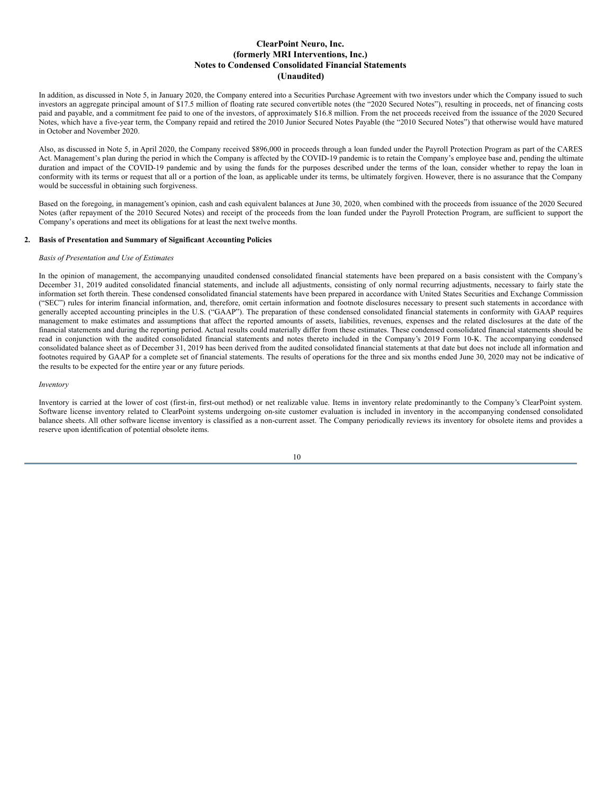In addition, as discussed in Note 5, in January 2020, the Company entered into a Securities Purchase Agreement with two investors under which the Company issued to such investors an aggregate principal amount of \$17.5 million of floating rate secured convertible notes (the "2020 Secured Notes"), resulting in proceeds, net of financing costs paid and payable, and a commitment fee paid to one of the investors, of approximately \$16.8 million. From the net proceeds received from the issuance of the 2020 Secured Notes, which have a five-year term, the Company repaid and retired the 2010 Junior Secured Notes Payable (the "2010 Secured Notes") that otherwise would have matured in October and November 2020.

Also, as discussed in Note 5, in April 2020, the Company received \$896,000 in proceeds through a loan funded under the Payroll Protection Program as part of the CARES Act. Management's plan during the period in which the Company is affected by the COVID-19 pandemic is to retain the Company's employee base and, pending the ultimate duration and impact of the COVID-19 pandemic and by using the funds for the purposes described under the terms of the loan, consider whether to repay the loan in conformity with its terms or request that all or a portion of the loan, as applicable under its terms, be ultimately forgiven. However, there is no assurance that the Company would be successful in obtaining such forgiveness.

Based on the foregoing, in management's opinion, cash and cash equivalent balances at June 30, 2020, when combined with the proceeds from issuance of the 2020 Secured Notes (after repayment of the 2010 Secured Notes) and receipt of the proceeds from the loan funded under the Payroll Protection Program, are sufficient to support the Company's operations and meet its obligations for at least the next twelve months.

#### **2. Basis of Presentation and Summary of Significant Accounting Policies**

### *Basis of Presentation and Use of Estimates*

In the opinion of management, the accompanying unaudited condensed consolidated financial statements have been prepared on a basis consistent with the Company's December 31, 2019 audited consolidated financial statements, and include all adjustments, consisting of only normal recurring adjustments, necessary to fairly state the information set forth therein. These condensed consolidated financial statements have been prepared in accordance with United States Securities and Exchange Commission ("SEC") rules for interim financial information, and, therefore, omit certain information and footnote disclosures necessary to present such statements in accordance with generally accepted accounting principles in the U.S. ("GAAP"). The preparation of these condensed consolidated financial statements in conformity with GAAP requires management to make estimates and assumptions that affect the reported amounts of assets, liabilities, revenues, expenses and the related disclosures at the date of the financial statements and during the reporting period. Actual results could materially differ from these estimates. These condensed consolidated financial statements should be read in conjunction with the audited consolidated financial statements and notes thereto included in the Company's 2019 Form 10-K. The accompanying condensed consolidated balance sheet as of December 31, 2019 has been derived from the audited consolidated financial statements at that date but does not include all information and footnotes required by GAAP for a complete set of financial statements. The results of operations for the three and six months ended June 30, 2020 may not be indicative of the results to be expected for the entire year or any future periods.

#### *Inventory*

Inventory is carried at the lower of cost (first-in, first-out method) or net realizable value. Items in inventory relate predominantly to the Company's ClearPoint system. Software license inventory related to ClearPoint systems undergoing on-site customer evaluation is included in inventory in the accompanying condensed consolidated balance sheets. All other software license inventory is classified as a non-current asset. The Company periodically reviews its inventory for obsolete items and provides a reserve upon identification of potential obsolete items.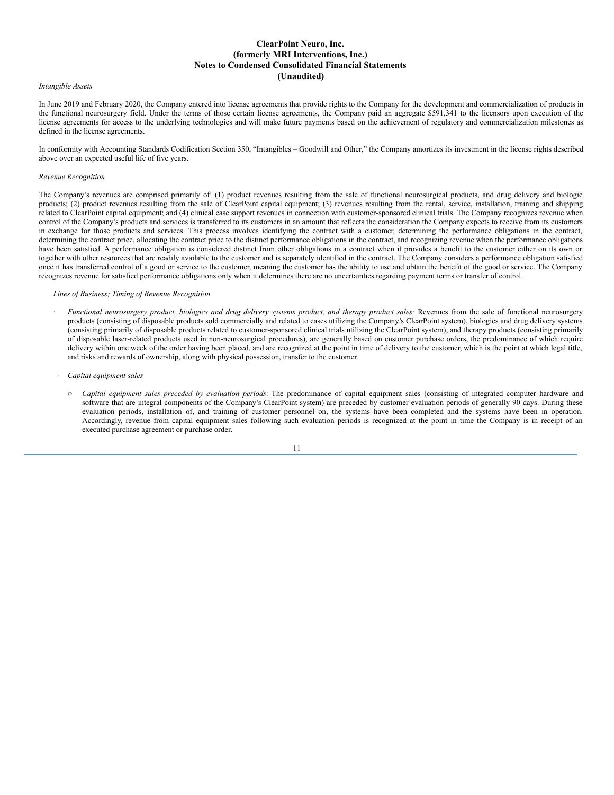#### *Intangible Assets*

In June 2019 and February 2020, the Company entered into license agreements that provide rights to the Company for the development and commercialization of products in the functional neurosurgery field. Under the terms of those certain license agreements, the Company paid an aggregate \$591,341 to the licensors upon execution of the license agreements for access to the underlying technologies and will make future payments based on the achievement of regulatory and commercialization milestones as defined in the license agreements.

In conformity with Accounting Standards Codification Section 350, "Intangibles – Goodwill and Other," the Company amortizes its investment in the license rights described above over an expected useful life of five years.

#### *Revenue Recognition*

The Company's revenues are comprised primarily of: (1) product revenues resulting from the sale of functional neurosurgical products, and drug delivery and biologic products; (2) product revenues resulting from the sale of ClearPoint capital equipment; (3) revenues resulting from the rental, service, installation, training and shipping related to ClearPoint capital equipment; and (4) clinical case support revenues in connection with customer-sponsored clinical trials. The Company recognizes revenue when control of the Company's products and services is transferred to its customers in an amount that reflects the consideration the Company expects to receive from its customers in exchange for those products and services. This process involves identifying the contract with a customer, determining the performance obligations in the contract, determining the contract price, allocating the contract price to the distinct performance obligations in the contract, and recognizing revenue when the performance obligations have been satisfied. A performance obligation is considered distinct from other obligations in a contract when it provides a benefit to the customer either on its own or together with other resources that are readily available to the customer and is separately identified in the contract. The Company considers a performance obligation satisfied once it has transferred control of a good or service to the customer, meaning the customer has the ability to use and obtain the benefit of the good or service. The Company recognizes revenue for satisfied performance obligations only when it determines there are no uncertainties regarding payment terms or transfer of control.

#### *Lines of Business; Timing of Revenue Recognition*

- Functional neurosurgery product, biologics and drug delivery systems product, and therapy product sales: Revenues from the sale of functional neurosurgery products (consisting of disposable products sold commercially and related to cases utilizing the Company's ClearPoint system), biologics and drug delivery systems (consisting primarily of disposable products related to customer-sponsored clinical trials utilizing the ClearPoint system), and therapy products (consisting primarily of disposable laser-related products used in non-neurosurgical procedures), are generally based on customer purchase orders, the predominance of which require delivery within one week of the order having been placed, and are recognized at the point in time of delivery to the customer, which is the point at which legal title, and risks and rewards of ownership, along with physical possession, transfer to the customer.
- · *Capital equipment sales*
	- o *Capital equipment sales preceded by evaluation periods:* The predominance of capital equipment sales (consisting of integrated computer hardware and software that are integral components of the Company's ClearPoint system) are preceded by customer evaluation periods of generally 90 days. During these evaluation periods, installation of, and training of customer personnel on, the systems have been completed and the systems have been in operation. Accordingly, revenue from capital equipment sales following such evaluation periods is recognized at the point in time the Company is in receipt of an executed purchase agreement or purchase order.

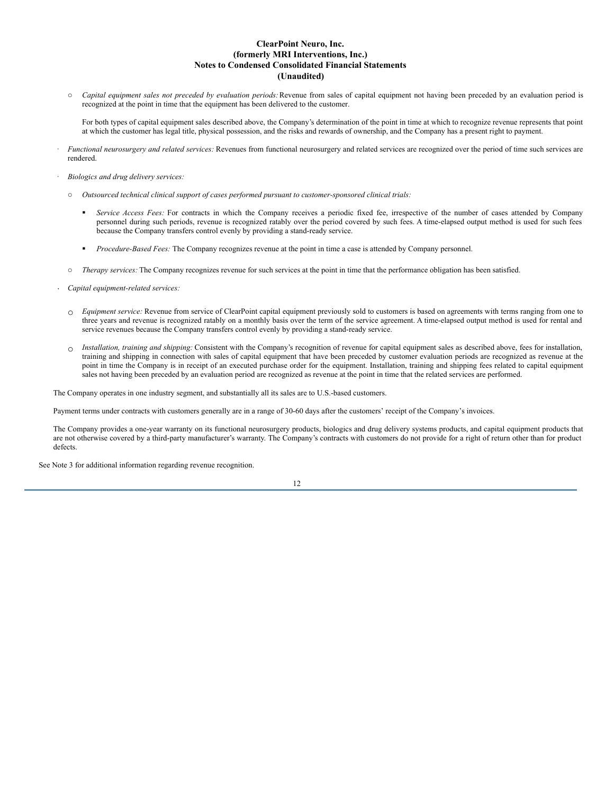o *Capital equipment sales not preceded by evaluation periods:*Revenue from sales of capital equipment not having been preceded by an evaluation period is recognized at the point in time that the equipment has been delivered to the customer.

For both types of capital equipment sales described above, the Company's determination of the point in time at which to recognize revenue represents that point at which the customer has legal title, physical possession, and the risks and rewards of ownership, and the Company has a present right to payment.

- · *Functional neurosurgery and related services:* Revenues from functional neurosurgery and related services are recognized over the period of time such services are rendered.
- · *Biologics and drug delivery services:*
	- o *Outsourced technical clinical support of cases performed pursuant to customer-sponsored clinical trials:*
		- § *Service Access Fees:* For contracts in which the Company receives a periodic fixed fee, irrespective of the number of cases attended by Company personnel during such periods, revenue is recognized ratably over the period covered by such fees. A time-elapsed output method is used for such fees because the Company transfers control evenly by providing a stand-ready service.
		- § *Procedure-Based Fees:* The Company recognizes revenue at the point in time a case is attended by Company personnel.
	- o *Therapy services:* The Company recognizes revenue for such services at the point in time that the performance obligation has been satisfied.
- · *Capital equipment-related services:*
	- $\circ$  *Equipment service:* Revenue from service of ClearPoint capital equipment previously sold to customers is based on agreements with terms ranging from one to three years and revenue is recognized ratably on a monthly basis over the term of the service agreement. A time-elapsed output method is used for rental and service revenues because the Company transfers control evenly by providing a stand-ready service.
	- o *Installation, training and shipping:* Consistent with the Company's recognition of revenue for capital equipment sales as described above, fees for installation, training and shipping in connection with sales of capital equipment that have been preceded by customer evaluation periods are recognized as revenue at the point in time the Company is in receipt of an executed purchase order for the equipment. Installation, training and shipping fees related to capital equipment sales not having been preceded by an evaluation period are recognized as revenue at the point in time that the related services are performed.

The Company operates in one industry segment, and substantially all its sales are to U.S.-based customers.

Payment terms under contracts with customers generally are in a range of 30-60 days after the customers' receipt of the Company's invoices.

The Company provides a one-year warranty on its functional neurosurgery products, biologics and drug delivery systems products, and capital equipment products that are not otherwise covered by a third-party manufacturer's warranty. The Company's contracts with customers do not provide for a right of return other than for product defects.

See Note 3 for additional information regarding revenue recognition.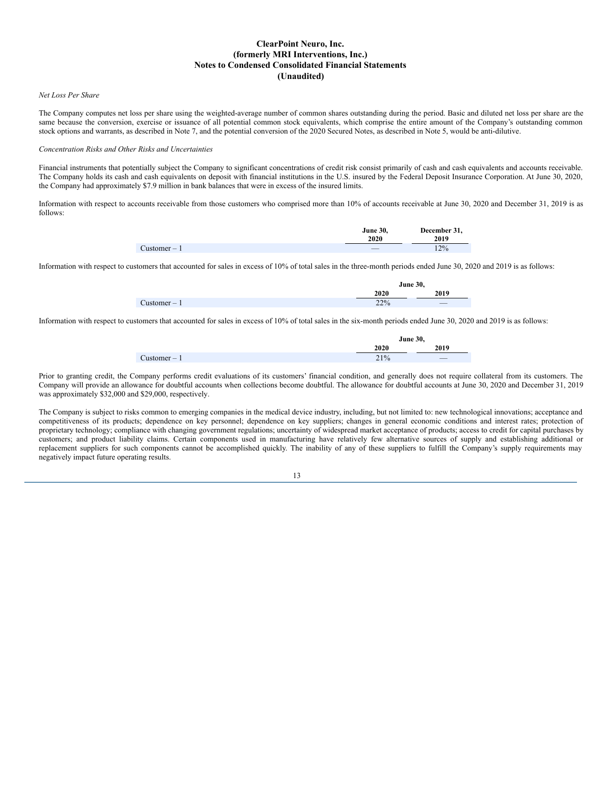### *Net Loss Per Share*

The Company computes net loss per share using the weighted-average number of common shares outstanding during the period. Basic and diluted net loss per share are the same because the conversion, exercise or issuance of all potential common stock equivalents, which comprise the entire amount of the Company's outstanding common stock options and warrants, as described in Note 7, and the potential conversion of the 2020 Secured Notes, as described in Note 5, would be anti-dilutive.

## *Concentration Risks and Other Risks and Uncertainties*

Financial instruments that potentially subject the Company to significant concentrations of credit risk consist primarily of cash and cash equivalents and accounts receivable. The Company holds its cash and cash equivalents on deposit with financial institutions in the U.S. insured by the Federal Deposit Insurance Corporation. At June 30, 2020, the Company had approximately \$7.9 million in bank balances that were in excess of the insured limits.

Information with respect to accounts receivable from those customers who comprised more than 10% of accounts receivable at June 30, 2020 and December 31, 2019 is as follows:

|              | <b>June 30,</b><br>2020  | December 31,<br>2019 |
|--------------|--------------------------|----------------------|
| ∠ustomer – 1 | $\overline{\phantom{a}}$ | 12%                  |

Information with respect to customers that accounted for sales in excess of 10% of total sales in the three-month periods ended June 30, 2020 and 2019 is as follows:

|           |      | <b>June 30,</b>                 |
|-----------|------|---------------------------------|
|           | 2020 | 2019                            |
| - ustomer | 22%  | $\hspace{0.1mm}-\hspace{0.1mm}$ |

Information with respect to customers that accounted for sales in excess of 10% of total sales in the six-month periods ended June 30, 2020 and 2019 is as follows:

|                | <b>June 30,</b> |                                 |
|----------------|-----------------|---------------------------------|
|                | 2020            | 2019                            |
| $Customer - 1$ | 21%             | $\hspace{0.1mm}-\hspace{0.1mm}$ |

Prior to granting credit, the Company performs credit evaluations of its customers' financial condition, and generally does not require collateral from its customers. The Company will provide an allowance for doubtful accounts when collections become doubtful. The allowance for doubtful accounts at June 30, 2020 and December 31, 2019 was approximately \$32,000 and \$29,000, respectively.

The Company is subject to risks common to emerging companies in the medical device industry, including, but not limited to: new technological innovations; acceptance and competitiveness of its products; dependence on key personnel; dependence on key suppliers; changes in general economic conditions and interest rates; protection of proprietary technology; compliance with changing government regulations; uncertainty of widespread market acceptance of products; access to credit for capital purchases by customers; and product liability claims. Certain components used in manufacturing have relatively few alternative sources of supply and establishing additional or replacement suppliers for such components cannot be accomplished quickly. The inability of any of these suppliers to fulfill the Company's supply requirements may negatively impact future operating results.

| I<br>I |
|--------|
| ×      |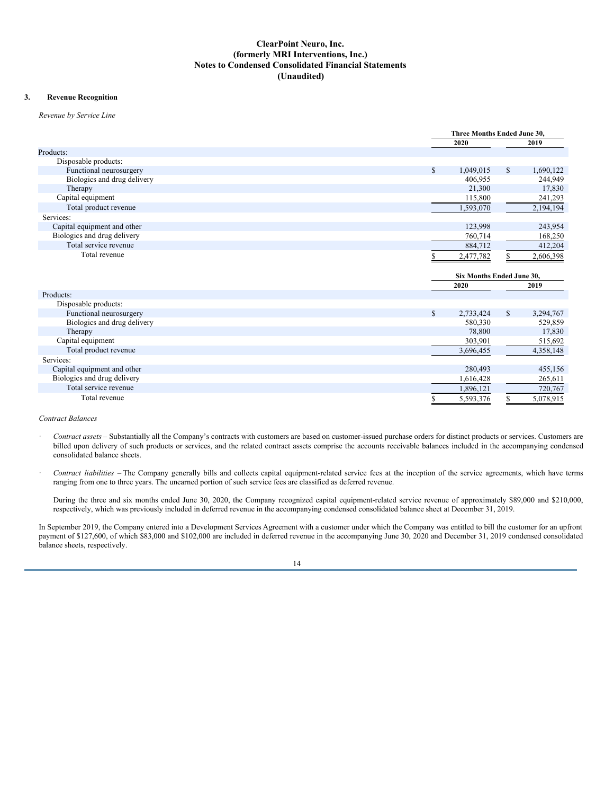### **3. Revenue Recognition**

*Revenue by Service Line*

|                             |                           | Three Months Ended June 30,      |  |  |
|-----------------------------|---------------------------|----------------------------------|--|--|
|                             | 2020                      | 2019                             |  |  |
| Products:                   |                           |                                  |  |  |
| Disposable products:        |                           |                                  |  |  |
| Functional neurosurgery     | \$<br>1,049,015           | \$<br>1,690,122                  |  |  |
| Biologics and drug delivery | 406.955                   | 244,949                          |  |  |
| Therapy                     | 21,300                    | 17,830                           |  |  |
| Capital equipment           | 115,800                   | 241,293                          |  |  |
| Total product revenue       | 1,593,070                 | 2,194,194                        |  |  |
| Services:                   |                           |                                  |  |  |
| Capital equipment and other | 123,998                   | 243,954                          |  |  |
| Biologics and drug delivery | 760,714                   | 168,250                          |  |  |
| Total service revenue       | 884,712                   | 412,204                          |  |  |
| Total revenue               | 2,477,782                 | 2,606,398<br>S                   |  |  |
|                             |                           | <b>Six Months Ended June 30.</b> |  |  |
|                             |                           |                                  |  |  |
|                             | 2020                      | 2019                             |  |  |
| Products:                   |                           |                                  |  |  |
| Disposable products:        |                           |                                  |  |  |
| Functional neurosurgery     | $\mathbb{S}$<br>2,733,424 | \$<br>3,294,767                  |  |  |
| Biologics and drug delivery | 580,330                   | 529,859                          |  |  |
| Therapy                     | 78,800                    | 17,830                           |  |  |
| Capital equipment           | 303,901                   | 515,692                          |  |  |
| Total product revenue       | 3,696,455                 | 4,358,148                        |  |  |
| Services:                   |                           |                                  |  |  |
| Capital equipment and other | 280,493                   | 455,156                          |  |  |
| Biologics and drug delivery | 1,616,428                 | 265,611                          |  |  |
| Total service revenue       | 1,896,121                 | 720,767                          |  |  |

*Contract Balances*

- · *Contract assets* Substantially all the Company's contracts with customers are based on customer-issued purchase orders for distinct products or services. Customers are billed upon delivery of such products or services, and the related contract assets comprise the accounts receivable balances included in the accompanying condensed consolidated balance sheets.
- · *Contract liabilities –* The Company generally bills and collects capital equipment-related service fees at the inception of the service agreements, which have terms ranging from one to three years. The unearned portion of such service fees are classified as deferred revenue.
	- During the three and six months ended June 30, 2020, the Company recognized capital equipment-related service revenue of approximately \$89,000 and \$210,000, respectively, which was previously included in deferred revenue in the accompanying condensed consolidated balance sheet at December 31, 2019.

In September 2019, the Company entered into a Development Services Agreement with a customer under which the Company was entitled to bill the customer for an upfront payment of \$127,600, of which \$83,000 and \$102,000 are included in deferred revenue in the accompanying June 30, 2020 and December 31, 2019 condensed consolidated balance sheets, respectively.

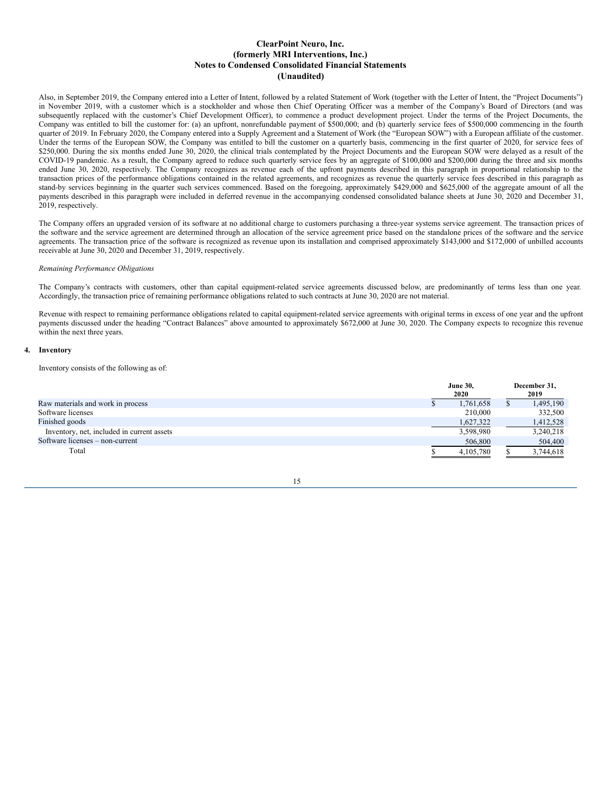Also, in September 2019, the Company entered into a Letter of Intent, followed by a related Statement of Work (together with the Letter of Intent, the "Project Documents") in November 2019, with a customer which is a stockholder and whose then Chief Operating Officer was a member of the Company's Board of Directors (and was subsequently replaced with the customer's Chief Development Officer), to commence a product development project. Under the terms of the Project Documents, the Company was entitled to bill the customer for: (a) an upfront, nonrefundable payment of \$500,000; and (b) quarterly service fees of \$500,000 commencing in the fourth quarter of 2019. In February 2020, the Company entered into a Supply Agreement and a Statement of Work (the "European SOW") with a European affiliate of the customer. Under the terms of the European SOW, the Company was entitled to bill the customer on a quarterly basis, commencing in the first quarter of 2020, for service fees of \$250,000. During the six months ended June 30, 2020, the clinical trials contemplated by the Project Documents and the European SOW were delayed as a result of the COVID-19 pandemic. As a result, the Company agreed to reduce such quarterly service fees by an aggregate of \$100,000 and \$200,000 during the three and six months ended June 30, 2020, respectively. The Company recognizes as revenue each of the upfront payments described in this paragraph in proportional relationship to the transaction prices of the performance obligations contained in the related agreements, and recognizes as revenue the quarterly service fees described in this paragraph as stand-by services beginning in the quarter such services commenced. Based on the foregoing, approximately \$429,000 and \$625,000 of the aggregate amount of all the payments described in this paragraph were included in deferred revenue in the accompanying condensed consolidated balance sheets at June 30, 2020 and December 31, 2019, respectively.

The Company offers an upgraded version of its software at no additional charge to customers purchasing a three-year systems service agreement. The transaction prices of the software and the service agreement are determined through an allocation of the service agreement price based on the standalone prices of the software and the service agreements. The transaction price of the software is recognized as revenue upon its installation and comprised approximately \$143,000 and \$172,000 of unbilled accounts receivable at June 30, 2020 and December 31, 2019, respectively.

#### *Remaining Performance Obligations*

The Company's contracts with customers, other than capital equipment-related service agreements discussed below, are predominantly of terms less than one year. Accordingly, the transaction price of remaining performance obligations related to such contracts at June 30, 2020 are not material.

Revenue with respect to remaining performance obligations related to capital equipment-related service agreements with original terms in excess of one year and the upfront payments discussed under the heading "Contract Balances" above amounted to approximately \$672,000 at June 30, 2020. The Company expects to recognize this revenue within the next three years.

### **4. Inventory**

Inventory consists of the following as of:

|                                            | <b>June 30,</b> | December 31, |
|--------------------------------------------|-----------------|--------------|
|                                            | 2020            | 2019         |
| Raw materials and work in process          | 1,761,658       | 1,495,190    |
| Software licenses                          | 210,000         | 332,500      |
| Finished goods                             | 1,627,322       | 1,412,528    |
| Inventory, net, included in current assets | 3,598,980       | 3,240,218    |
| Software licenses – non-current            | 506,800         | 504,400      |
| Total                                      | 4,105,780       | 3,744,618    |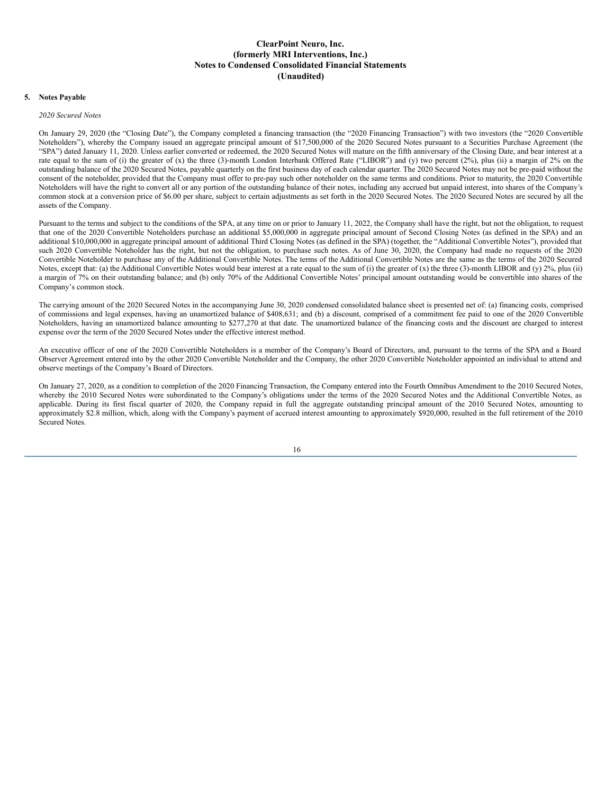### **5. Notes Payable**

### *2020 Secured Notes*

On January 29, 2020 (the "Closing Date"), the Company completed a financing transaction (the "2020 Financing Transaction") with two investors (the "2020 Convertible Noteholders"), whereby the Company issued an aggregate principal amount of \$17,500,000 of the 2020 Secured Notes pursuant to a Securities Purchase Agreement (the "SPA") dated January 11, 2020. Unless earlier converted or redeemed, the 2020 Secured Notes will mature on the fifth anniversary of the Closing Date, and bear interest at a rate equal to the sum of (i) the greater of (x) the three (3)-month London Interbank Offered Rate ("LIBOR") and (y) two percent (2%), plus (ii) a margin of 2% on the outstanding balance of the 2020 Secured Notes, payable quarterly on the first business day of each calendar quarter. The 2020 Secured Notes may not be pre-paid without the consent of the noteholder, provided that the Company must offer to pre-pay such other noteholder on the same terms and conditions. Prior to maturity, the 2020 Convertible Noteholders will have the right to convert all or any portion of the outstanding balance of their notes, including any accrued but unpaid interest, into shares of the Company's common stock at a conversion price of \$6.00 per share, subject to certain adjustments as set forth in the 2020 Secured Notes. The 2020 Secured Notes are secured by all the assets of the Company.

Pursuant to the terms and subject to the conditions of the SPA, at any time on or prior to January 11, 2022, the Company shall have the right, but not the obligation, to request that one of the 2020 Convertible Noteholders purchase an additional \$5,000,000 in aggregate principal amount of Second Closing Notes (as defined in the SPA) and an additional \$10,000,000 in aggregate principal amount of additional Third Closing Notes (as defined in the SPA) (together, the "Additional Convertible Notes"), provided that such 2020 Convertible Noteholder has the right, but not the obligation, to purchase such notes. As of June 30, 2020, the Company had made no requests of the 2020 Convertible Noteholder to purchase any of the Additional Convertible Notes. The terms of the Additional Convertible Notes are the same as the terms of the 2020 Secured Notes, except that: (a) the Additional Convertible Notes would bear interest at a rate equal to the sum of (i) the greater of (x) the three (3)-month LIBOR and (y)  $2\%$ , plus (ii) a margin of 7% on their outstanding balance; and (b) only 70% of the Additional Convertible Notes' principal amount outstanding would be convertible into shares of the Company's common stock.

The carrying amount of the 2020 Secured Notes in the accompanying June 30, 2020 condensed consolidated balance sheet is presented net of: (a) financing costs, comprised of commissions and legal expenses, having an unamortized balance of \$408,631; and (b) a discount, comprised of a commitment fee paid to one of the 2020 Convertible Noteholders, having an unamortized balance amounting to \$277,270 at that date. The unamortized balance of the financing costs and the discount are charged to interest expense over the term of the 2020 Secured Notes under the effective interest method.

An executive officer of one of the 2020 Convertible Noteholders is a member of the Company's Board of Directors, and, pursuant to the terms of the SPA and a Board Observer Agreement entered into by the other 2020 Convertible Noteholder and the Company, the other 2020 Convertible Noteholder appointed an individual to attend and observe meetings of the Company's Board of Directors.

On January 27, 2020, as a condition to completion of the 2020 Financing Transaction, the Company entered into the Fourth Omnibus Amendment to the 2010 Secured Notes, whereby the 2010 Secured Notes were subordinated to the Company's obligations under the terms of the 2020 Secured Notes and the Additional Convertible Notes, as applicable. During its first fiscal quarter of 2020, the Company repaid in full the aggregate outstanding principal amount of the 2010 Secured Notes, amounting to approximately \$2.8 million, which, along with the Company's payment of accrued interest amounting to approximately \$920,000, resulted in the full retirement of the 2010 Secured Notes.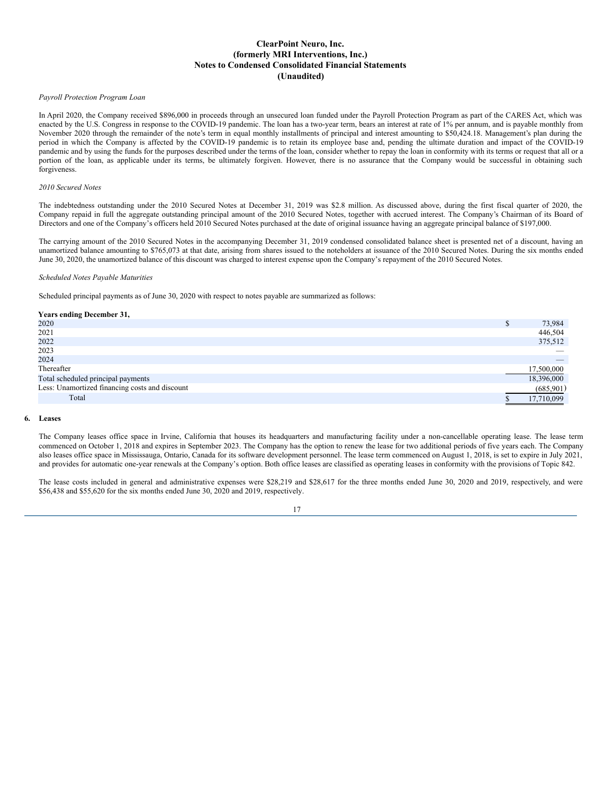#### *Payroll Protection Program Loan*

In April 2020, the Company received \$896,000 in proceeds through an unsecured loan funded under the Payroll Protection Program as part of the CARES Act, which was enacted by the U.S. Congress in response to the COVID-19 pandemic. The loan has a two-year term, bears an interest at rate of 1% per annum, and is payable monthly from November 2020 through the remainder of the note's term in equal monthly installments of principal and interest amounting to \$50,424.18. Management's plan during the period in which the Company is affected by the COVID-19 pandemic is to retain its employee base and, pending the ultimate duration and impact of the COVID-19 pandemic and by using the funds for the purposes described under the terms of the loan, consider whether to repay the loan in conformity with its terms or request that all or a portion of the loan, as applicable under its terms, be ultimately forgiven. However, there is no assurance that the Company would be successful in obtaining such forgiveness.

#### *2010 Secured Notes*

The indebtedness outstanding under the 2010 Secured Notes at December 31, 2019 was \$2.8 million. As discussed above, during the first fiscal quarter of 2020, the Company repaid in full the aggregate outstanding principal amount of the 2010 Secured Notes, together with accrued interest. The Company's Chairman of its Board of Directors and one of the Company's officers held 2010 Secured Notes purchased at the date of original issuance having an aggregate principal balance of \$197,000.

The carrying amount of the 2010 Secured Notes in the accompanying December 31, 2019 condensed consolidated balance sheet is presented net of a discount, having an unamortized balance amounting to \$765,073 at that date, arising from shares issued to the noteholders at issuance of the 2010 Secured Notes. During the six months ended June 30, 2020, the unamortized balance of this discount was charged to interest expense upon the Company's repayment of the 2010 Secured Notes.

#### *Scheduled Notes Payable Maturities*

Scheduled principal payments as of June 30, 2020 with respect to notes payable are summarized as follows:

#### **Years ending December 31,**

| 2020                                           | 73,984                   |
|------------------------------------------------|--------------------------|
| 2021                                           | 446,504                  |
| 2022                                           | 375,512                  |
| 2023                                           | $\qquad \qquad$          |
| 2024                                           | $\overline{\phantom{a}}$ |
| Thereafter                                     | 17,500,000               |
| Total scheduled principal payments             | 18,396,000               |
| Less: Unamortized financing costs and discount | (685,901)                |
| Total                                          | 17,710,099               |

#### **6. Leases**

The Company leases office space in Irvine, California that houses its headquarters and manufacturing facility under a non-cancellable operating lease. The lease term commenced on October 1, 2018 and expires in September 2023. The Company has the option to renew the lease for two additional periods of five years each. The Company also leases office space in Mississauga, Ontario, Canada for its software development personnel. The lease term commenced on August 1, 2018, is set to expire in July 2021, and provides for automatic one-year renewals at the Company's option. Both office leases are classified as operating leases in conformity with the provisions of Topic 842.

The lease costs included in general and administrative expenses were \$28,219 and \$28,617 for the three months ended June 30, 2020 and 2019, respectively, and were \$56,438 and \$55,620 for the six months ended June 30, 2020 and 2019, respectively.

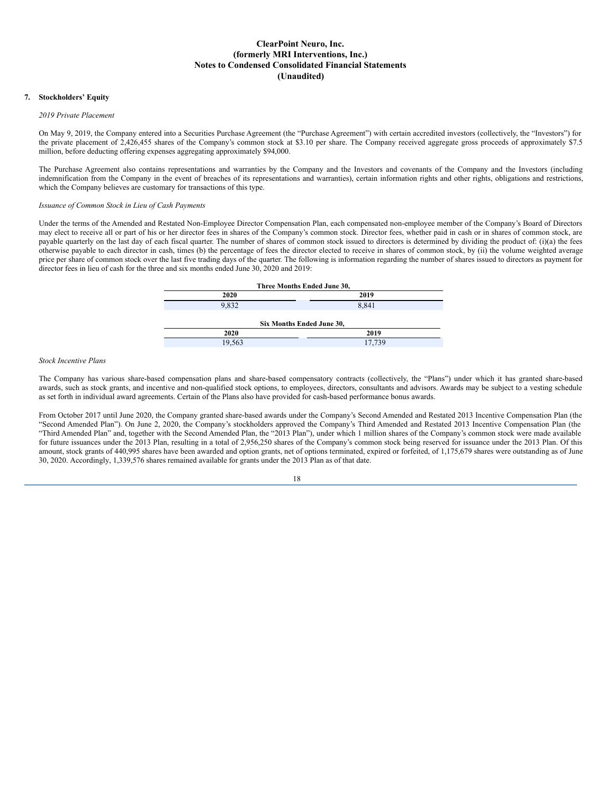#### **7. Stockholders' Equity**

## *2019 Private Placement*

On May 9, 2019, the Company entered into a Securities Purchase Agreement (the "Purchase Agreement") with certain accredited investors (collectively, the "Investors") for the private placement of 2,426,455 shares of the Company's common stock at \$3.10 per share. The Company received aggregate gross proceeds of approximately \$7.5 million, before deducting offering expenses aggregating approximately \$94,000.

The Purchase Agreement also contains representations and warranties by the Company and the Investors and covenants of the Company and the Investors (including indemnification from the Company in the event of breaches of its representations and warranties), certain information rights and other rights, obligations and restrictions, which the Company believes are customary for transactions of this type.

#### *Issuance of Common Stock in Lieu of Cash Payments*

Under the terms of the Amended and Restated Non-Employee Director Compensation Plan, each compensated non-employee member of the Company's Board of Directors may elect to receive all or part of his or her director fees in shares of the Company's common stock. Director fees, whether paid in cash or in shares of common stock, are payable quarterly on the last day of each fiscal quarter. The number of shares of common stock issued to directors is determined by dividing the product of: (i)(a) the fees otherwise payable to each director in cash, times (b) the percentage of fees the director elected to receive in shares of common stock, by (ii) the volume weighted average price per share of common stock over the last five trading days of the quarter. The following is information regarding the number of shares issued to directors as payment for director fees in lieu of cash for the three and six months ended June 30, 2020 and 2019:

|        | Three Months Ended June 30, |
|--------|-----------------------------|
| 2020   | 2019                        |
| 9.832  | 8.841                       |
|        | Six Months Ended June 30,   |
| 2020   | 2019                        |
| 19,563 | 17.739                      |

#### *Stock Incentive Plans*

The Company has various share-based compensation plans and share-based compensatory contracts (collectively, the "Plans") under which it has granted share-based awards, such as stock grants, and incentive and non-qualified stock options, to employees, directors, consultants and advisors. Awards may be subject to a vesting schedule as set forth in individual award agreements. Certain of the Plans also have provided for cash-based performance bonus awards.

From October 2017 until June 2020, the Company granted share-based awards under the Company's Second Amended and Restated 2013 Incentive Compensation Plan (the "Second Amended Plan"). On June 2, 2020, the Company's stockholders approved the Company's Third Amended and Restated 2013 Incentive Compensation Plan (the "Third Amended Plan" and, together with the Second Amended Plan, the "2013 Plan"), under which 1 million shares of the Company's common stock were made available for future issuances under the 2013 Plan, resulting in a total of 2,956,250 shares of the Company's common stock being reserved for issuance under the 2013 Plan. Of this amount, stock grants of 440,995 shares have been awarded and option grants, net of options terminated, expired or forfeited, of 1,175,679 shares were outstanding as of June 30, 2020. Accordingly, 1,339,576 shares remained available for grants under the 2013 Plan as of that date.

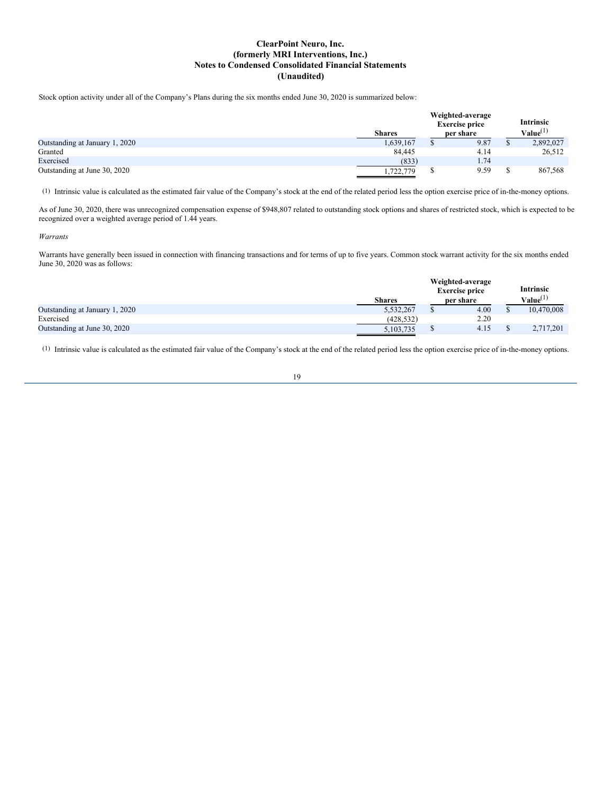Stock option activity under all of the Company's Plans during the six months ended June 30, 2020 is summarized below:

|                                | <b>Shares</b> | Weighted-average<br><b>Exercise price</b><br>per share |               | <b>Intrinsic</b><br>$\mathbf{Value}^{(1)}$ |
|--------------------------------|---------------|--------------------------------------------------------|---------------|--------------------------------------------|
| Outstanding at January 1, 2020 | 1,639,167     | 9.87                                                   | D             | 2,892,027                                  |
| Granted                        | 84,445        | 4.14                                                   |               | 26,512                                     |
| Exercised                      | (833)         | 1.74                                                   |               |                                            |
| Outstanding at June 30, 2020   | 1,722,779     | 9.59                                                   | <sup>\$</sup> | 867,568                                    |

(1) Intrinsic value is calculated as the estimated fair value of the Company's stock at the end of the related period less the option exercise price of in-the-money options.

As of June 30, 2020, there was unrecognized compensation expense of \$948,807 related to outstanding stock options and shares of restricted stock, which is expected to be recognized over a weighted average period of 1.44 years.

## *Warrants*

Warrants have generally been issued in connection with financing transactions and for terms of up to five years. Common stock warrant activity for the six months ended June 30, 2020 was as follows:

|                                | <b>Shares</b> | Weighted-average<br><b>Exercise price</b><br>per share | <b>Intrinsic</b><br>$\mathbf{Value}^{(1)}$ |            |  |
|--------------------------------|---------------|--------------------------------------------------------|--------------------------------------------|------------|--|
| Outstanding at January 1, 2020 | 5,532,267     | 4.00                                                   |                                            | 10.470.008 |  |
| Exercised                      | (428, 532)    | 2.20                                                   |                                            |            |  |
| Outstanding at June 30, 2020   | 5,103,735     | 4.15                                                   |                                            | 2,717,201  |  |

(1) Intrinsic value is calculated as the estimated fair value of the Company's stock at the end of the related period less the option exercise price of in-the-money options.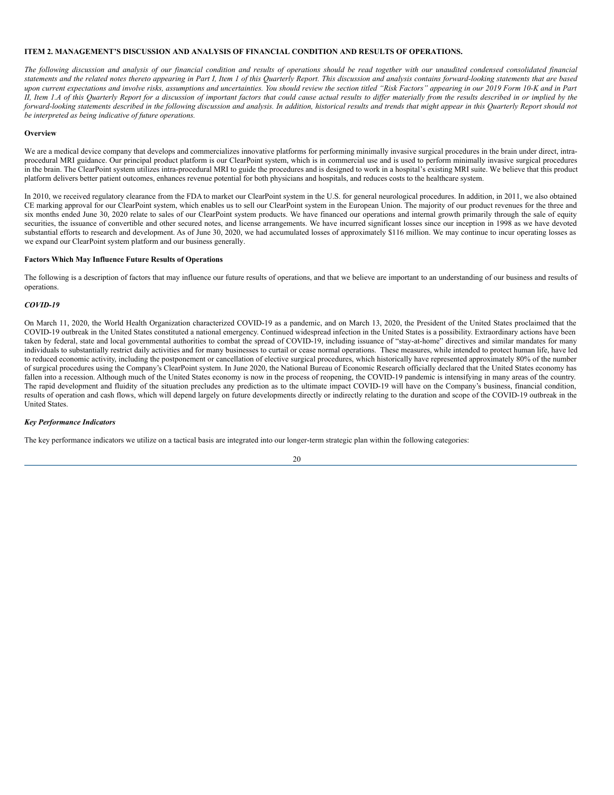### <span id="page-19-0"></span>**ITEM 2. MANAGEMENT'S DISCUSSION AND ANALYSIS OF FINANCIAL CONDITION AND RESULTS OF OPERATIONS.**

The following discussion and analysis of our financial condition and results of operations should be read together with our unaudited condensed consolidated financial statements and the related notes thereto appearing in Part I, Item 1 of this Quarterly Report. This discussion and analysis contains forward-looking statements that are based upon current expectations and involve risks, assumptions and uncertainties. You should review the section titled "Risk Factors" appearing in our 2019 Form 10-K and in Part II, Item 1.A of this Quarterly Report for a discussion of important factors that could cause actual results to differ materially from the results described in or implied by the forward-looking statements described in the following discussion and analysis. In addition, historical results and trends that might appear in this Quarterly Report should not *be interpreted as being indicative of future operations.*

### **Overview**

We are a medical device company that develops and commercializes innovative platforms for performing minimally invasive surgical procedures in the brain under direct, intraprocedural MRI guidance. Our principal product platform is our ClearPoint system, which is in commercial use and is used to perform minimally invasive surgical procedures in the brain. The ClearPoint system utilizes intra-procedural MRI to guide the procedures and is designed to work in a hospital's existing MRI suite. We believe that this product platform delivers better patient outcomes, enhances revenue potential for both physicians and hospitals, and reduces costs to the healthcare system.

In 2010, we received regulatory clearance from the FDA to market our ClearPoint system in the U.S. for general neurological procedures. In addition, in 2011, we also obtained CE marking approval for our ClearPoint system, which enables us to sell our ClearPoint system in the European Union. The majority of our product revenues for the three and six months ended June 30, 2020 relate to sales of our ClearPoint system products. We have financed our operations and internal growth primarily through the sale of equity securities, the issuance of convertible and other secured notes, and license arrangements. We have incurred significant losses since our inception in 1998 as we have devoted substantial efforts to research and development. As of June 30, 2020, we had accumulated losses of approximately \$116 million. We may continue to incur operating losses as we expand our ClearPoint system platform and our business generally.

## **Factors Which May Influence Future Results of Operations**

The following is a description of factors that may influence our future results of operations, and that we believe are important to an understanding of our business and results of operations.

#### *COVID-19*

On March 11, 2020, the World Health Organization characterized COVID-19 as a pandemic, and on March 13, 2020, the President of the United States proclaimed that the COVID-19 outbreak in the United States constituted a national emergency. Continued widespread infection in the United States is a possibility. Extraordinary actions have been taken by federal, state and local governmental authorities to combat the spread of COVID-19, including issuance of "stay-at-home" directives and similar mandates for many individuals to substantially restrict daily activities and for many businesses to curtail or cease normal operations. These measures, while intended to protect human life, have led to reduced economic activity, including the postponement or cancellation of elective surgical procedures, which historically have represented approximately 80% of the number of surgical procedures using the Company's ClearPoint system. In June 2020, the National Bureau of Economic Research officially declared that the United States economy has fallen into a recession. Although much of the United States economy is now in the process of reopening, the COVID-19 pandemic is intensifying in many areas of the country. The rapid development and fluidity of the situation precludes any prediction as to the ultimate impact COVID-19 will have on the Company's business, financial condition, results of operation and cash flows, which will depend largely on future developments directly or indirectly relating to the duration and scope of the COVID-19 outbreak in the United States.

#### *Key Performance Indicators*

The key performance indicators we utilize on a tactical basis are integrated into our longer-term strategic plan within the following categories:

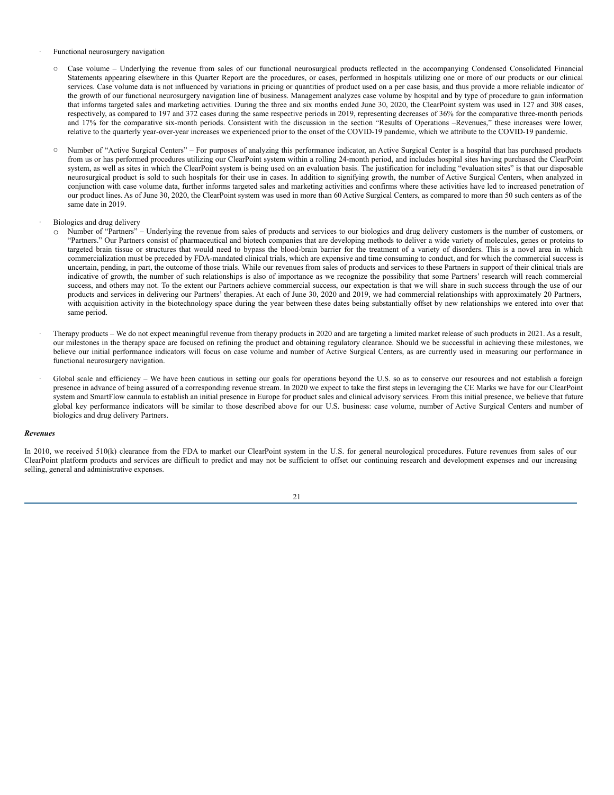#### Functional neurosurgery navigation

- Case volume Underlying the revenue from sales of our functional neurosurgical products reflected in the accompanying Condensed Consolidated Financial Statements appearing elsewhere in this Quarter Report are the procedures, or cases, performed in hospitals utilizing one or more of our products or our clinical services. Case volume data is not influenced by variations in pricing or quantities of product used on a per case basis, and thus provide a more reliable indicator of the growth of our functional neurosurgery navigation line of business. Management analyzes case volume by hospital and by type of procedure to gain information that informs targeted sales and marketing activities. During the three and six months ended June 30, 2020, the ClearPoint system was used in 127 and 308 cases, respectively, as compared to 197 and 372 cases during the same respective periods in 2019, representing decreases of 36% for the comparative three-month periods and 17% for the comparative six-month periods. Consistent with the discussion in the section "Results of Operations –Revenues," these increases were lower, relative to the quarterly year-over-year increases we experienced prior to the onset of the COVID-19 pandemic, which we attribute to the COVID-19 pandemic.
- o Number of "Active Surgical Centers" For purposes of analyzing this performance indicator, an Active Surgical Center is a hospital that has purchased products from us or has performed procedures utilizing our ClearPoint system within a rolling 24-month period, and includes hospital sites having purchased the ClearPoint system, as well as sites in which the ClearPoint system is being used on an evaluation basis. The justification for including "evaluation sites" is that our disposable neurosurgical product is sold to such hospitals for their use in cases. In addition to signifying growth, the number of Active Surgical Centers, when analyzed in conjunction with case volume data, further informs targeted sales and marketing activities and confirms where these activities have led to increased penetration of our product lines. As of June 30, 2020, the ClearPoint system was used in more than 60 Active Surgical Centers, as compared to more than 50 such centers as of the same date in 2019.
- Biologics and drug delivery
	- o Number of "Partners" Underlying the revenue from sales of products and services to our biologics and drug delivery customers is the number of customers, or "Partners." Our Partners consist of pharmaceutical and biotech companies that are developing methods to deliver a wide variety of molecules, genes or proteins to targeted brain tissue or structures that would need to bypass the blood-brain barrier for the treatment of a variety of disorders. This is a novel area in which commercialization must be preceded by FDA-mandated clinical trials, which are expensive and time consuming to conduct, and for which the commercial success is uncertain, pending, in part, the outcome of those trials. While our revenues from sales of products and services to these Partners in support of their clinical trials are indicative of growth, the number of such relationships is also of importance as we recognize the possibility that some Partners' research will reach commercial success, and others may not. To the extent our Partners achieve commercial success, our expectation is that we will share in such success through the use of our products and services in delivering our Partners' therapies. At each of June 30, 2020 and 2019, we had commercial relationships with approximately 20 Partners, with acquisition activity in the biotechnology space during the year between these dates being substantially offset by new relationships we entered into over that same period.
- · Therapy products We do not expect meaningful revenue from therapy products in 2020 and are targeting a limited market release of such products in 2021. As a result, our milestones in the therapy space are focused on refining the product and obtaining regulatory clearance. Should we be successful in achieving these milestones, we believe our initial performance indicators will focus on case volume and number of Active Surgical Centers, as are currently used in measuring our performance in functional neurosurgery navigation.
- Global scale and efficiency We have been cautious in setting our goals for operations beyond the U.S. so as to conserve our resources and not establish a foreign presence in advance of being assured of a corresponding revenue stream. In 2020 we expect to take the first steps in leveraging the CE Marks we have for our ClearPoint system and SmartFlow cannula to establish an initial presence in Europe for product sales and clinical advisory services. From this initial presence, we believe that future global key performance indicators will be similar to those described above for our U.S. business: case volume, number of Active Surgical Centers and number of biologics and drug delivery Partners.

#### *Revenues*

In 2010, we received 510(k) clearance from the FDA to market our ClearPoint system in the U.S. for general neurological procedures. Future revenues from sales of our ClearPoint platform products and services are difficult to predict and may not be sufficient to offset our continuing research and development expenses and our increasing selling, general and administrative expenses.

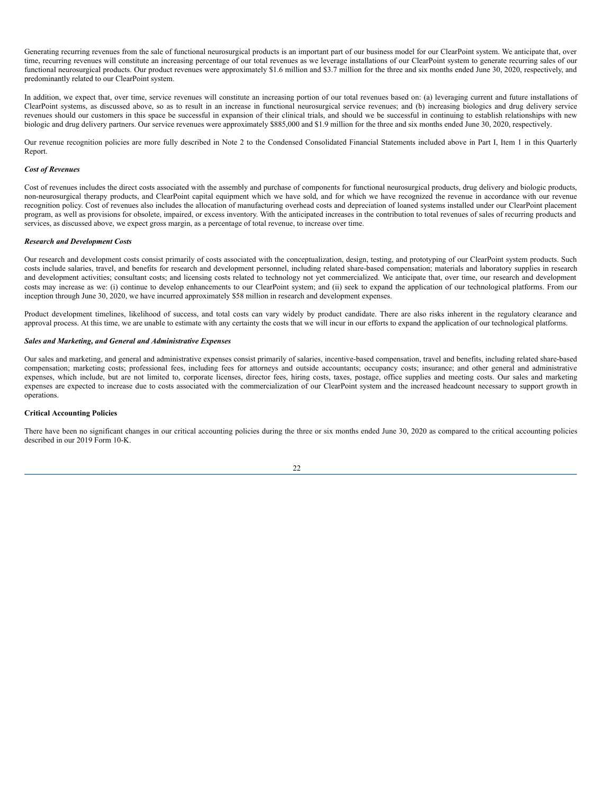Generating recurring revenues from the sale of functional neurosurgical products is an important part of our business model for our ClearPoint system. We anticipate that, over time, recurring revenues will constitute an increasing percentage of our total revenues as we leverage installations of our ClearPoint system to generate recurring sales of our functional neurosurgical products. Our product revenues were approximately \$1.6 million and \$3.7 million for the three and six months ended June 30, 2020, respectively, and predominantly related to our ClearPoint system.

In addition, we expect that, over time, service revenues will constitute an increasing portion of our total revenues based on: (a) leveraging current and future installations of ClearPoint systems, as discussed above, so as to result in an increase in functional neurosurgical service revenues; and (b) increasing biologics and drug delivery service revenues should our customers in this space be successful in expansion of their clinical trials, and should we be successful in continuing to establish relationships with new biologic and drug delivery partners. Our service revenues were approximately \$885,000 and \$1.9 million for the three and six months ended June 30, 2020, respectively.

Our revenue recognition policies are more fully described in Note 2 to the Condensed Consolidated Financial Statements included above in Part I, Item 1 in this Quarterly Report.

#### *Cost of Revenues*

Cost of revenues includes the direct costs associated with the assembly and purchase of components for functional neurosurgical products, drug delivery and biologic products, non-neurosurgical therapy products, and ClearPoint capital equipment which we have sold, and for which we have recognized the revenue in accordance with our revenue recognition policy. Cost of revenues also includes the allocation of manufacturing overhead costs and depreciation of loaned systems installed under our ClearPoint placement program, as well as provisions for obsolete, impaired, or excess inventory. With the anticipated increases in the contribution to total revenues of sales of recurring products and services, as discussed above, we expect gross margin, as a percentage of total revenue, to increase over time.

### *Research and Development Costs*

Our research and development costs consist primarily of costs associated with the conceptualization, design, testing, and prototyping of our ClearPoint system products. Such costs include salaries, travel, and benefits for research and development personnel, including related share-based compensation; materials and laboratory supplies in research and development activities; consultant costs; and licensing costs related to technology not yet commercialized. We anticipate that, over time, our research and development costs may increase as we: (i) continue to develop enhancements to our ClearPoint system; and (ii) seek to expand the application of our technological platforms. From our inception through June 30, 2020, we have incurred approximately \$58 million in research and development expenses.

Product development timelines, likelihood of success, and total costs can vary widely by product candidate. There are also risks inherent in the regulatory clearance and approval process. At this time, we are unable to estimate with any certainty the costs that we will incur in our efforts to expand the application of our technological platforms.

#### *Sales and Marketing, and General and Administrative Expenses*

Our sales and marketing, and general and administrative expenses consist primarily of salaries, incentive-based compensation, travel and benefits, including related share-based compensation; marketing costs; professional fees, including fees for attorneys and outside accountants; occupancy costs; insurance; and other general and administrative expenses, which include, but are not limited to, corporate licenses, director fees, hiring costs, taxes, postage, office supplies and meeting costs. Our sales and marketing expenses are expected to increase due to costs associated with the commercialization of our ClearPoint system and the increased headcount necessary to support growth in operations.

### **Critical Accounting Policies**

There have been no significant changes in our critical accounting policies during the three or six months ended June 30, 2020 as compared to the critical accounting policies described in our 2019 Form 10-K.

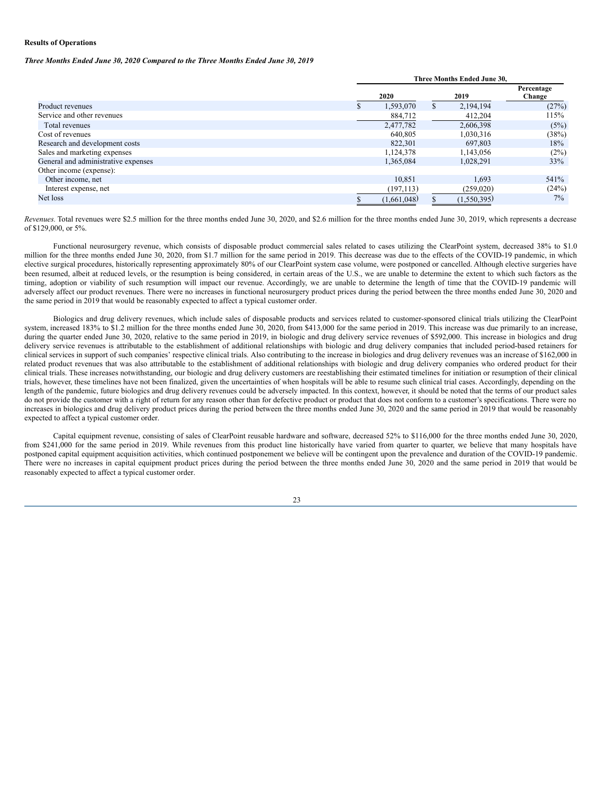### **Results of Operations**

### *Three Months Ended June 30, 2020 Compared to the Three Months Ended June 30, 2019*

|                                     |             | Three Months Ended June 30. |                      |  |  |
|-------------------------------------|-------------|-----------------------------|----------------------|--|--|
|                                     | 2020        | 2019                        | Percentage<br>Change |  |  |
| Product revenues                    | 1,593,070   | 2,194,194<br>\$             | (27%)                |  |  |
| Service and other revenues          | 884,712     | 412,204                     | 115%                 |  |  |
| Total revenues                      | 2,477,782   | 2,606,398                   | (5%)                 |  |  |
| Cost of revenues                    | 640,805     | 1,030,316                   | (38%)                |  |  |
| Research and development costs      | 822.301     | 697.803                     | 18%                  |  |  |
| Sales and marketing expenses        | 1,124,378   | 1,143,056                   | (2%)                 |  |  |
| General and administrative expenses | 1,365,084   | 1,028,291                   | 33%                  |  |  |
| Other income (expense):             |             |                             |                      |  |  |
| Other income, net                   | 10,851      | 1,693                       | 541%                 |  |  |
| Interest expense, net               | (197, 113)  | (259, 020)                  | (24%)                |  |  |
| Net loss                            | (1,661,048) | (1,550,395)                 | $7\%$                |  |  |

*Revenues.* Total revenues were \$2.5 million for the three months ended June 30, 2020, and \$2.6 million for the three months ended June 30, 2019, which represents a decrease of \$129,000, or 5%.

Functional neurosurgery revenue, which consists of disposable product commercial sales related to cases utilizing the ClearPoint system, decreased 38% to \$1.0 million for the three months ended June 30, 2020, from \$1.7 million for the same period in 2019. This decrease was due to the effects of the COVID-19 pandemic, in which elective surgical procedures, historically representing approximately 80% of our ClearPoint system case volume, were postponed or cancelled. Although elective surgeries have been resumed, albeit at reduced levels, or the resumption is being considered, in certain areas of the U.S., we are unable to determine the extent to which such factors as the timing, adoption or viability of such resumption will impact our revenue. Accordingly, we are unable to determine the length of time that the COVID-19 pandemic will adversely affect our product revenues. There were no increases in functional neurosurgery product prices during the period between the three months ended June 30, 2020 and the same period in 2019 that would be reasonably expected to affect a typical customer order.

Biologics and drug delivery revenues, which include sales of disposable products and services related to customer-sponsored clinical trials utilizing the ClearPoint system, increased 183% to \$1.2 million for the three months ended June 30, 2020, from \$413,000 for the same period in 2019. This increase was due primarily to an increase, during the quarter ended June 30, 2020, relative to the same period in 2019, in biologic and drug delivery service revenues of \$592,000. This increase in biologics and drug delivery service revenues is attributable to the establishment of additional relationships with biologic and drug delivery companies that included period-based retainers for clinical services in support of such companies' respective clinical trials. Also contributing to the increase in biologics and drug delivery revenues was an increase of \$162,000 in related product revenues that was also attributable to the establishment of additional relationships with biologic and drug delivery companies who ordered product for their clinical trials. These increases notwithstanding, our biologic and drug delivery customers are reestablishing their estimated timelines for initiation or resumption of their clinical trials, however, these timelines have not been finalized, given the uncertainties of when hospitals will be able to resume such clinical trial cases. Accordingly, depending on the length of the pandemic, future biologics and drug delivery revenues could be adversely impacted. In this context, however, it should be noted that the terms of our product sales do not provide the customer with a right of return for any reason other than for defective product or product that does not conform to a customer's specifications. There were no increases in biologics and drug delivery product prices during the period between the three months ended June 30, 2020 and the same period in 2019 that would be reasonably expected to affect a typical customer order.

Capital equipment revenue, consisting of sales of ClearPoint reusable hardware and software, decreased 52% to \$116,000 for the three months ended June 30, 2020, from \$241,000 for the same period in 2019. While revenues from this product line historically have varied from quarter to quarter, we believe that many hospitals have postponed capital equipment acquisition activities, which continued postponement we believe will be contingent upon the prevalence and duration of the COVID-19 pandemic. There were no increases in capital equipment product prices during the period between the three months ended June 30, 2020 and the same period in 2019 that would be reasonably expected to affect a typical customer order.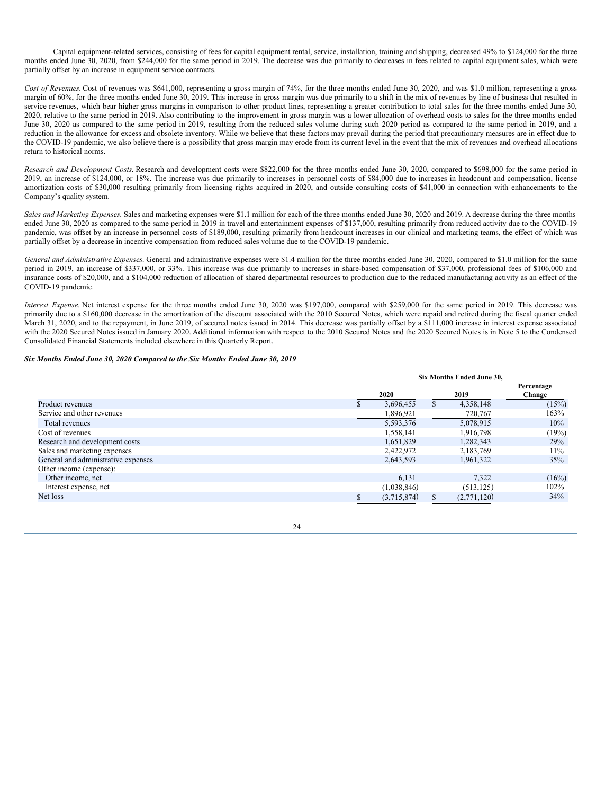Capital equipment-related services, consisting of fees for capital equipment rental, service, installation, training and shipping, decreased 49% to \$124,000 for the three months ended June 30, 2020, from \$244,000 for the same period in 2019. The decrease was due primarily to decreases in fees related to capital equipment sales, which were partially offset by an increase in equipment service contracts.

*Cost of Revenues.* Cost of revenues was \$641,000, representing a gross margin of 74%, for the three months ended June 30, 2020, and was \$1.0 million, representing a gross margin of 60%, for the three months ended June 30, 2019. This increase in gross margin was due primarily to a shift in the mix of revenues by line of business that resulted in service revenues, which bear higher gross margins in comparison to other product lines, representing a greater contribution to total sales for the three months ended June 30, 2020, relative to the same period in 2019. Also contributing to the improvement in gross margin was a lower allocation of overhead costs to sales for the three months ended June 30, 2020 as compared to the same period in 2019, resulting from the reduced sales volume during such 2020 period as compared to the same period in 2019, and a reduction in the allowance for excess and obsolete inventory. While we believe that these factors may prevail during the period that precautionary measures are in effect due to the COVID-19 pandemic, we also believe there is a possibility that gross margin may erode from its current level in the event that the mix of revenues and overhead allocations return to historical norms.

*Research and Development Costs.* Research and development costs were \$822,000 for the three months ended June 30, 2020, compared to \$698,000 for the same period in 2019, an increase of \$124,000, or 18%. The increase was due primarily to increases in personnel costs of \$84,000 due to increases in headcount and compensation, license amortization costs of \$30,000 resulting primarily from licensing rights acquired in 2020, and outside consulting costs of \$41,000 in connection with enhancements to the Company's quality system.

*Sales and Marketing Expenses.* Sales and marketing expenses were \$1.1 million for each of the three months ended June 30, 2020 and 2019. A decrease during the three months ended June 30, 2020 as compared to the same period in 2019 in travel and entertainment expenses of \$137,000, resulting primarily from reduced activity due to the COVID-19 pandemic, was offset by an increase in personnel costs of \$189,000, resulting primarily from headcount increases in our clinical and marketing teams, the effect of which was partially offset by a decrease in incentive compensation from reduced sales volume due to the COVID-19 pandemic.

*General and Administrative Expenses*. General and administrative expenses were \$1.4 million for the three months ended June 30, 2020, compared to \$1.0 million for the same period in 2019, an increase of \$337,000, or 33%. This increase was due primarily to increases in share-based compensation of \$37,000, professional fees of \$106,000 and insurance costs of \$20,000, and a \$104,000 reduction of allocation of shared departmental resources to production due to the reduced manufacturing activity as an effect of the COVID-19 pandemic.

*Interest Expense.* Net interest expense for the three months ended June 30, 2020 was \$197,000, compared with \$259,000 for the same period in 2019. This decrease was primarily due to a \$160,000 decrease in the amortization of the discount associated with the 2010 Secured Notes, which were repaid and retired during the fiscal quarter ended March 31, 2020, and to the repayment, in June 2019, of secured notes issued in 2014. This decrease was partially offset by a \$111,000 increase in interest expense associated with the 2020 Secured Notes issued in January 2020. Additional information with respect to the 2010 Secured Notes and the 2020 Secured Notes is in Note 5 to the Condensed Consolidated Financial Statements included elsewhere in this Quarterly Report.

## *Six Months Ended June 30, 2020 Compared to the Six Months Ended June 30, 2019*

|                                     |             | <b>Six Months Ended June 30.</b> |             |                      |  |
|-------------------------------------|-------------|----------------------------------|-------------|----------------------|--|
|                                     | 2020        |                                  | 2019        | Percentage<br>Change |  |
| Product revenues                    | 3,696,455   | D.                               | 4,358,148   | (15%)                |  |
| Service and other revenues          | 1,896,921   |                                  | 720,767     | 163%                 |  |
| Total revenues                      | 5,593,376   |                                  | 5,078,915   | 10%                  |  |
| Cost of revenues                    | 1,558,141   |                                  | 1,916,798   | (19%)                |  |
| Research and development costs      | 1,651,829   |                                  | 1,282,343   | <b>29%</b>           |  |
| Sales and marketing expenses        | 2,422,972   |                                  | 2,183,769   | 11%                  |  |
| General and administrative expenses | 2,643,593   |                                  | 1,961,322   | 35%                  |  |
| Other income (expense):             |             |                                  |             |                      |  |
| Other income, net                   | 6.131       |                                  | 7,322       | (16%)                |  |
| Interest expense, net               | (1,038,846) |                                  | (513, 125)  | 102%                 |  |
| Net loss                            | (3,715,874) |                                  | (2,771,120) | 34%                  |  |

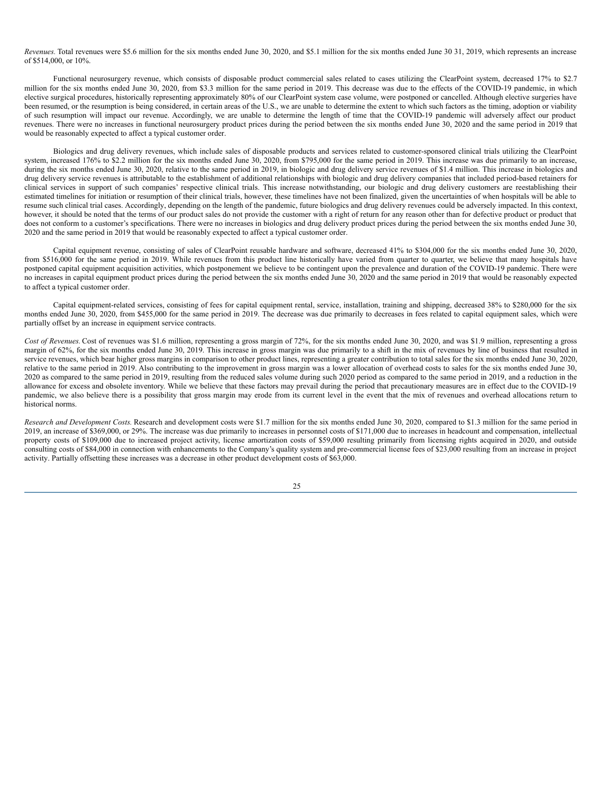*Revenues.* Total revenues were \$5.6 million for the six months ended June 30, 2020, and \$5.1 million for the six months ended June 30 31, 2019, which represents an increase of \$514,000, or 10%.

Functional neurosurgery revenue, which consists of disposable product commercial sales related to cases utilizing the ClearPoint system, decreased 17% to \$2.7 million for the six months ended June 30, 2020, from \$3.3 million for the same period in 2019. This decrease was due to the effects of the COVID-19 pandemic, in which elective surgical procedures, historically representing approximately 80% of our ClearPoint system case volume, were postponed or cancelled. Although elective surgeries have been resumed, or the resumption is being considered, in certain areas of the U.S., we are unable to determine the extent to which such factors as the timing, adoption or viability of such resumption will impact our revenue. Accordingly, we are unable to determine the length of time that the COVID-19 pandemic will adversely affect our product revenues. There were no increases in functional neurosurgery product prices during the period between the six months ended June 30, 2020 and the same period in 2019 that would be reasonably expected to affect a typical customer order.

Biologics and drug delivery revenues, which include sales of disposable products and services related to customer-sponsored clinical trials utilizing the ClearPoint system, increased 176% to \$2.2 million for the six months ended June 30, 2020, from \$795,000 for the same period in 2019. This increase was due primarily to an increase, during the six months ended June 30, 2020, relative to the same period in 2019, in biologic and drug delivery service revenues of \$1.4 million. This increase in biologics and drug delivery service revenues is attributable to the establishment of additional relationships with biologic and drug delivery companies that included period-based retainers for clinical services in support of such companies' respective clinical trials. This increase notwithstanding, our biologic and drug delivery customers are reestablishing their estimated timelines for initiation or resumption of their clinical trials, however, these timelines have not been finalized, given the uncertainties of when hospitals will be able to resume such clinical trial cases. Accordingly, depending on the length of the pandemic, future biologics and drug delivery revenues could be adversely impacted. In this context, however, it should be noted that the terms of our product sales do not provide the customer with a right of return for any reason other than for defective product or product that does not conform to a customer's specifications. There were no increases in biologics and drug delivery product prices during the period between the six months ended June 30, 2020 and the same period in 2019 that would be reasonably expected to affect a typical customer order.

Capital equipment revenue, consisting of sales of ClearPoint reusable hardware and software, decreased 41% to \$304,000 for the six months ended June 30, 2020, from \$516,000 for the same period in 2019. While revenues from this product line historically have varied from quarter to quarter, we believe that many hospitals have postponed capital equipment acquisition activities, which postponement we believe to be contingent upon the prevalence and duration of the COVID-19 pandemic. There were no increases in capital equipment product prices during the period between the six months ended June 30, 2020 and the same period in 2019 that would be reasonably expected to affect a typical customer order.

Capital equipment-related services, consisting of fees for capital equipment rental, service, installation, training and shipping, decreased 38% to \$280,000 for the six months ended June 30, 2020, from \$455,000 for the same period in 2019. The decrease was due primarily to decreases in fees related to capital equipment sales, which were partially offset by an increase in equipment service contracts.

*Cost of Revenues.* Cost of revenues was \$1.6 million, representing a gross margin of 72%, for the six months ended June 30, 2020, and was \$1.9 million, representing a gross margin of 62%, for the six months ended June 30, 2019. This increase in gross margin was due primarily to a shift in the mix of revenues by line of business that resulted in service revenues, which bear higher gross margins in comparison to other product lines, representing a greater contribution to total sales for the six months ended June 30, 2020, relative to the same period in 2019. Also contributing to the improvement in gross margin was a lower allocation of overhead costs to sales for the six months ended June 30, 2020 as compared to the same period in 2019, resulting from the reduced sales volume during such 2020 period as compared to the same period in 2019, and a reduction in the allowance for excess and obsolete inventory. While we believe that these factors may prevail during the period that precautionary measures are in effect due to the COVID-19 pandemic, we also believe there is a possibility that gross margin may erode from its current level in the event that the mix of revenues and overhead allocations return to historical norms.

*Research and Development Costs.* Research and development costs were \$1.7 million for the six months ended June 30, 2020, compared to \$1.3 million for the same period in 2019, an increase of \$369,000, or 29%. The increase was due primarily to increases in personnel costs of \$171,000 due to increases in headcount and compensation, intellectual property costs of \$109,000 due to increased project activity, license amortization costs of \$59,000 resulting primarily from licensing rights acquired in 2020, and outside consulting costs of \$84,000 in connection with enhancements to the Company's quality system and pre-commercial license fees of \$23,000 resulting from an increase in project activity. Partially offsetting these increases was a decrease in other product development costs of \$63,000.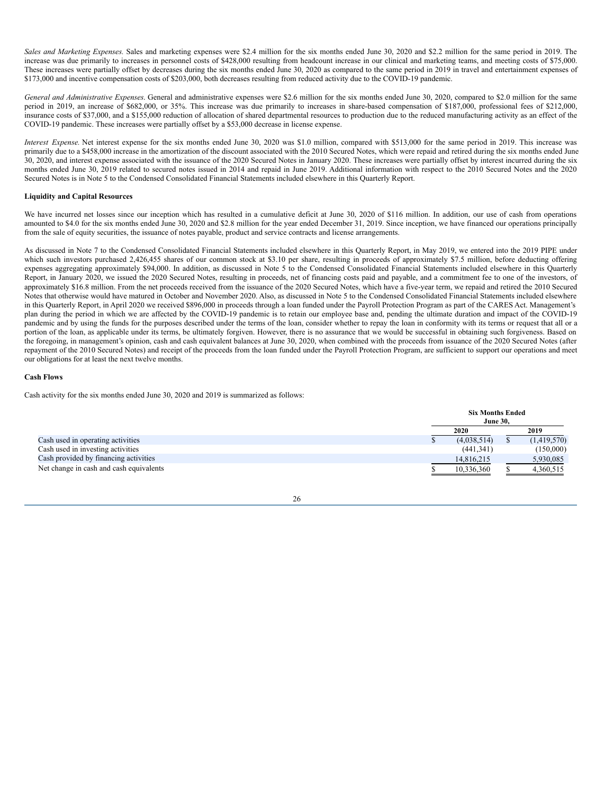*Sales and Marketing Expenses.* Sales and marketing expenses were \$2.4 million for the six months ended June 30, 2020 and \$2.2 million for the same period in 2019. The increase was due primarily to increases in personnel costs of \$428,000 resulting from headcount increase in our clinical and marketing teams, and meeting costs of \$75,000. These increases were partially offset by decreases during the six months ended June 30, 2020 as compared to the same period in 2019 in travel and entertainment expenses of \$173,000 and incentive compensation costs of \$203,000, both decreases resulting from reduced activity due to the COVID-19 pandemic.

*General and Administrative Expenses*. General and administrative expenses were \$2.6 million for the six months ended June 30, 2020, compared to \$2.0 million for the same period in 2019, an increase of \$682,000, or 35%. This increase was due primarily to increases in share-based compensation of \$187,000, professional fees of \$212,000, insurance costs of \$37,000, and a \$155,000 reduction of allocation of shared departmental resources to production due to the reduced manufacturing activity as an effect of the COVID-19 pandemic. These increases were partially offset by a \$53,000 decrease in license expense.

*Interest Expense.* Net interest expense for the six months ended June 30, 2020 was \$1.0 million, compared with \$513,000 for the same period in 2019. This increase was primarily due to a \$458,000 increase in the amortization of the discount associated with the 2010 Secured Notes, which were repaid and retired during the six months ended June 30, 2020, and interest expense associated with the issuance of the 2020 Secured Notes in January 2020. These increases were partially offset by interest incurred during the six months ended June 30, 2019 related to secured notes issued in 2014 and repaid in June 2019. Additional information with respect to the 2010 Secured Notes and the 2020 Secured Notes is in Note 5 to the Condensed Consolidated Financial Statements included elsewhere in this Quarterly Report.

## **Liquidity and Capital Resources**

We have incurred net losses since our inception which has resulted in a cumulative deficit at June 30, 2020 of \$116 million. In addition, our use of cash from operations amounted to \$4.0 for the six months ended June 30, 2020 and \$2.8 million for the year ended December 31, 2019. Since inception, we have financed our operations principally from the sale of equity securities, the issuance of notes payable, product and service contracts and license arrangements.

As discussed in Note 7 to the Condensed Consolidated Financial Statements included elsewhere in this Quarterly Report, in May 2019, we entered into the 2019 PIPE under which such investors purchased 2,426,455 shares of our common stock at \$3.10 per share, resulting in proceeds of approximately \$7.5 million, before deducting offering expenses aggregating approximately \$94,000. In addition, as discussed in Note 5 to the Condensed Consolidated Financial Statements included elsewhere in this Quarterly Report, in January 2020, we issued the 2020 Secured Notes, resulting in proceeds, net of financing costs paid and payable, and a commitment fee to one of the investors, of approximately \$16.8 million. From the net proceeds received from the issuance of the 2020 Secured Notes, which have a five-year term, we repaid and retired the 2010 Secured Notes that otherwise would have matured in October and November 2020. Also, as discussed in Note 5 to the Condensed Consolidated Financial Statements included elsewhere in this Quarterly Report, in April 2020 we received \$896,000 in proceeds through a loan funded under the Payroll Protection Program as part of the CARES Act. Management's plan during the period in which we are affected by the COVID-19 pandemic is to retain our employee base and, pending the ultimate duration and impact of the COVID-19 pandemic and by using the funds for the purposes described under the terms of the loan, consider whether to repay the loan in conformity with its terms or request that all or a portion of the loan, as applicable under its terms, be ultimately forgiven. However, there is no assurance that we would be successful in obtaining such forgiveness. Based on the foregoing, in management's opinion, cash and cash equivalent balances at June 30, 2020, when combined with the proceeds from issuance of the 2020 Secured Notes (after repayment of the 2010 Secured Notes) and receipt of the proceeds from the loan funded under the Payroll Protection Program, are sufficient to support our operations and meet our obligations for at least the next twelve months.

## **Cash Flows**

Cash activity for the six months ended June 30, 2020 and 2019 is summarized as follows:

|                                         | <b>Six Months Ended</b> |  |             |
|-----------------------------------------|-------------------------|--|-------------|
|                                         | <b>June 30.</b>         |  |             |
|                                         | 2020                    |  | 2019        |
| Cash used in operating activities       | (4,038,514)             |  | (1,419,570) |
| Cash used in investing activities       | (441, 341)              |  | (150,000)   |
| Cash provided by financing activities   | 14.816.215              |  | 5,930,085   |
| Net change in cash and cash equivalents | 10.336.360              |  | 4,360,515   |

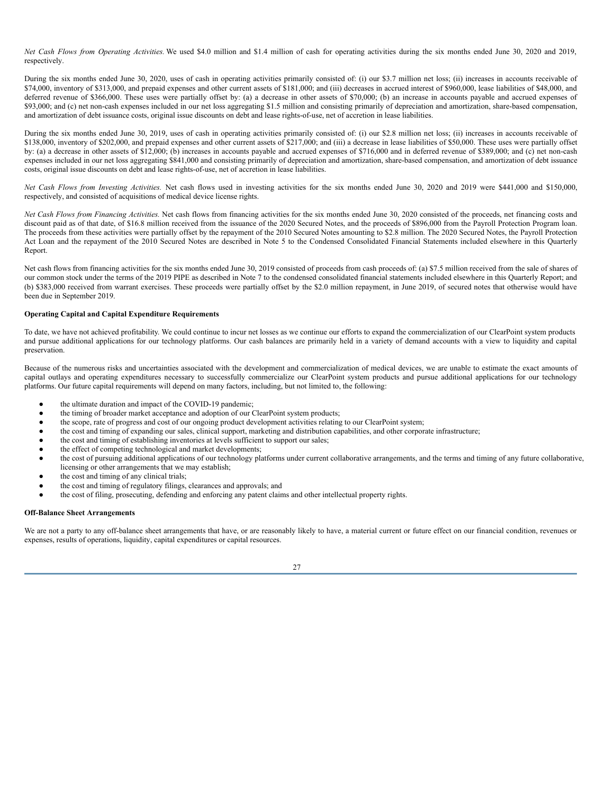*Net Cash Flows from Operating Activities.* We used \$4.0 million and \$1.4 million of cash for operating activities during the six months ended June 30, 2020 and 2019, respectively.

During the six months ended June 30, 2020, uses of cash in operating activities primarily consisted of: (i) our \$3.7 million net loss; (ii) increases in accounts receivable of \$74,000, inventory of \$313,000, and prepaid expenses and other current assets of \$181,000; and (iii) decreases in accrued interest of \$960,000, lease liabilities of \$48,000, and deferred revenue of \$366,000. These uses were partially offset by: (a) a decrease in other assets of \$70,000; (b) an increase in accounts payable and accrued expenses of \$93,000; and (c) net non-cash expenses included in our net loss aggregating \$1.5 million and consisting primarily of depreciation and amortization, share-based compensation, and amortization of debt issuance costs, original issue discounts on debt and lease rights-of-use, net of accretion in lease liabilities.

During the six months ended June 30, 2019, uses of cash in operating activities primarily consisted of: (i) our \$2.8 million net loss; (ii) increases in accounts receivable of \$138,000, inventory of \$202,000, and prepaid expenses and other current assets of \$217,000; and (iii) a decrease in lease liabilities of \$50,000. These uses were partially offset by: (a) a decrease in other assets of \$12,000; (b) increases in accounts payable and accrued expenses of \$716,000 and in deferred revenue of \$389,000; and (c) net non-cash expenses included in our net loss aggregating \$841,000 and consisting primarily of depreciation and amortization, share-based compensation, and amortization of debt issuance costs, original issue discounts on debt and lease rights-of-use, net of accretion in lease liabilities.

*Net Cash Flows from Investing Activities.* Net cash flows used in investing activities for the six months ended June 30, 2020 and 2019 were \$441,000 and \$150,000, respectively, and consisted of acquisitions of medical device license rights.

*Net Cash Flows from Financing Activities.* Net cash flows from financing activities for the six months ended June 30, 2020 consisted of the proceeds, net financing costs and discount paid as of that date, of \$16.8 million received from the issuance of the 2020 Secured Notes, and the proceeds of \$896,000 from the Payroll Protection Program loan. The proceeds from these activities were partially offset by the repayment of the 2010 Secured Notes amounting to \$2.8 million. The 2020 Secured Notes, the Payroll Protection Act Loan and the repayment of the 2010 Secured Notes are described in Note 5 to the Condensed Consolidated Financial Statements included elsewhere in this Quarterly Report.

Net cash flows from financing activities for the six months ended June 30, 2019 consisted of proceeds from cash proceeds of: (a) \$7.5 million received from the sale of shares of our common stock under the terms of the 2019 PIPE as described in Note 7 to the condensed consolidated financial statements included elsewhere in this Quarterly Report; and (b) \$383,000 received from warrant exercises. These proceeds were partially offset by the \$2.0 million repayment, in June 2019, of secured notes that otherwise would have been due in September 2019.

# **Operating Capital and Capital Expenditure Requirements**

To date, we have not achieved profitability. We could continue to incur net losses as we continue our efforts to expand the commercialization of our ClearPoint system products and pursue additional applications for our technology platforms. Our cash balances are primarily held in a variety of demand accounts with a view to liquidity and capital preservation.

Because of the numerous risks and uncertainties associated with the development and commercialization of medical devices, we are unable to estimate the exact amounts of capital outlays and operating expenditures necessary to successfully commercialize our ClearPoint system products and pursue additional applications for our technology platforms. Our future capital requirements will depend on many factors, including, but not limited to, the following:

- the ultimate duration and impact of the COVID-19 pandemic;
- the timing of broader market acceptance and adoption of our ClearPoint system products;
- the scope, rate of progress and cost of our ongoing product development activities relating to our ClearPoint system;
- the cost and timing of expanding our sales, clinical support, marketing and distribution capabilities, and other corporate infrastructure;
- the cost and timing of establishing inventories at levels sufficient to support our sales;
- the effect of competing technological and market developments;
- the cost of pursuing additional applications of our technology platforms under current collaborative arrangements, and the terms and timing of any future collaborative, licensing or other arrangements that we may establish;
- the cost and timing of any clinical trials;
- the cost and timing of regulatory filings, clearances and approvals; and
- the cost of filing, prosecuting, defending and enforcing any patent claims and other intellectual property rights.

## **Off-Balance Sheet Arrangements**

We are not a party to any off-balance sheet arrangements that have, or are reasonably likely to have, a material current or future effect on our financial condition, revenues or expenses, results of operations, liquidity, capital expenditures or capital resources.

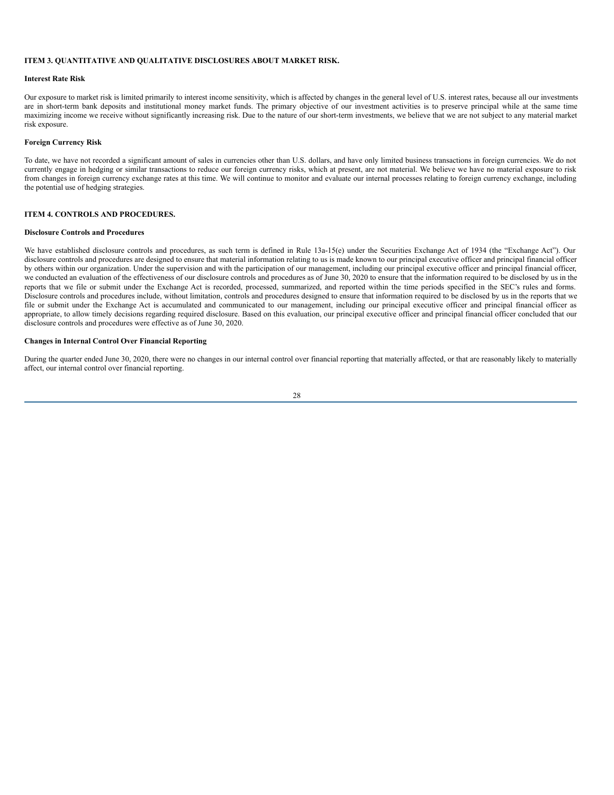## <span id="page-27-0"></span>**ITEM 3. QUANTITATIVE AND QUALITATIVE DISCLOSURES ABOUT MARKET RISK.**

#### **Interest Rate Risk**

Our exposure to market risk is limited primarily to interest income sensitivity, which is affected by changes in the general level of U.S. interest rates, because all our investments are in short-term bank deposits and institutional money market funds. The primary objective of our investment activities is to preserve principal while at the same time maximizing income we receive without significantly increasing risk. Due to the nature of our short-term investments, we believe that we are not subject to any material market risk exposure.

## **Foreign Currency Risk**

To date, we have not recorded a significant amount of sales in currencies other than U.S. dollars, and have only limited business transactions in foreign currencies. We do not currently engage in hedging or similar transactions to reduce our foreign currency risks, which at present, are not material. We believe we have no material exposure to risk from changes in foreign currency exchange rates at this time. We will continue to monitor and evaluate our internal processes relating to foreign currency exchange, including the potential use of hedging strategies.

## <span id="page-27-1"></span>**ITEM 4. CONTROLS AND PROCEDURES.**

#### **Disclosure Controls and Procedures**

We have established disclosure controls and procedures, as such term is defined in Rule 13a-15(e) under the Securities Exchange Act of 1934 (the "Exchange Act"). Our disclosure controls and procedures are designed to ensure that material information relating to us is made known to our principal executive officer and principal financial officer by others within our organization. Under the supervision and with the participation of our management, including our principal executive officer and principal financial officer, we conducted an evaluation of the effectiveness of our disclosure controls and procedures as of June 30, 2020 to ensure that the information required to be disclosed by us in the reports that we file or submit under the Exchange Act is recorded, processed, summarized, and reported within the time periods specified in the SEC's rules and forms. Disclosure controls and procedures include, without limitation, controls and procedures designed to ensure that information required to be disclosed by us in the reports that we file or submit under the Exchange Act is accumulated and communicated to our management, including our principal executive officer and principal financial officer as appropriate, to allow timely decisions regarding required disclosure. Based on this evaluation, our principal executive officer and principal financial officer concluded that our disclosure controls and procedures were effective as of June 30, 2020.

## **Changes in Internal Control Over Financial Reporting**

During the quarter ended June 30, 2020, there were no changes in our internal control over financial reporting that materially affected, or that are reasonably likely to materially affect, our internal control over financial reporting.

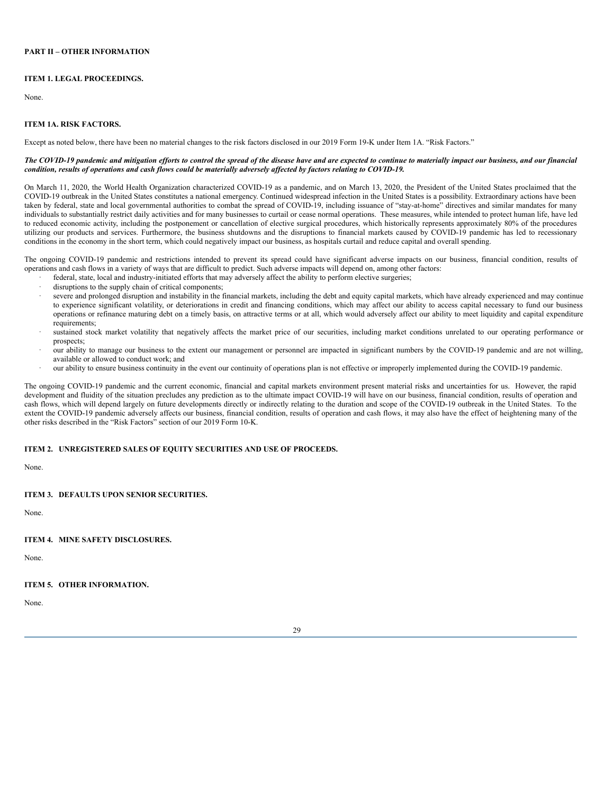## <span id="page-28-0"></span>**PART II – OTHER INFORMATION**

## <span id="page-28-1"></span>**ITEM 1. LEGAL PROCEEDINGS.**

None.

## <span id="page-28-2"></span>**ITEM 1A. RISK FACTORS.**

Except as noted below, there have been no material changes to the risk factors disclosed in our 2019 Form 19-K under Item 1A. "Risk Factors."

## The COVID-19 pandemic and mitigation efforts to control the spread of the disease have and are expected to continue to materially impact our business, and our financial condition, results of operations and cash flows could be materially adversely affected by factors relating to COVID-19.

On March 11, 2020, the World Health Organization characterized COVID-19 as a pandemic, and on March 13, 2020, the President of the United States proclaimed that the COVID-19 outbreak in the United States constitutes a national emergency. Continued widespread infection in the United States is a possibility. Extraordinary actions have been taken by federal, state and local governmental authorities to combat the spread of COVID-19, including issuance of "stay-at-home" directives and similar mandates for many individuals to substantially restrict daily activities and for many businesses to curtail or cease normal operations. These measures, while intended to protect human life, have led to reduced economic activity, including the postponement or cancellation of elective surgical procedures, which historically represents approximately 80% of the procedures utilizing our products and services. Furthermore, the business shutdowns and the disruptions to financial markets caused by COVID-19 pandemic has led to recessionary conditions in the economy in the short term, which could negatively impact our business, as hospitals curtail and reduce capital and overall spending.

The ongoing COVID-19 pandemic and restrictions intended to prevent its spread could have significant adverse impacts on our business, financial condition, results of operations and cash flows in a variety of ways that are difficult to predict. Such adverse impacts will depend on, among other factors:

- federal, state, local and industry-initiated efforts that may adversely affect the ability to perform elective surgeries;
- disruptions to the supply chain of critical components;
- severe and prolonged disruption and instability in the financial markets, including the debt and equity capital markets, which have already experienced and may continue to experience significant volatility, or deteriorations in credit and financing conditions, which may affect our ability to access capital necessary to fund our business operations or refinance maturing debt on a timely basis, on attractive terms or at all, which would adversely affect our ability to meet liquidity and capital expenditure requirements;
- sustained stock market volatility that negatively affects the market price of our securities, including market conditions unrelated to our operating performance or prospects;
- · our ability to manage our business to the extent our management or personnel are impacted in significant numbers by the COVID-19 pandemic and are not willing, available or allowed to conduct work; and
- · our ability to ensure business continuity in the event our continuity of operations plan is not effective or improperly implemented during the COVID-19 pandemic.

The ongoing COVID-19 pandemic and the current economic, financial and capital markets environment present material risks and uncertainties for us. However, the rapid development and fluidity of the situation precludes any prediction as to the ultimate impact COVID-19 will have on our business, financial condition, results of operation and cash flows, which will depend largely on future developments directly or indirectly relating to the duration and scope of the COVID-19 outbreak in the United States. To the extent the COVID-19 pandemic adversely affects our business, financial condition, results of operation and cash flows, it may also have the effect of heightening many of the other risks described in the "Risk Factors" section of our 2019 Form 10-K.

## <span id="page-28-3"></span>**ITEM 2. UNREGISTERED SALES OF EQUITY SECURITIES AND USE OF PROCEEDS.**

None.

## <span id="page-28-4"></span>**ITEM 3. DEFAULTS UPON SENIOR SECURITIES.**

None.

## <span id="page-28-5"></span>**ITEM 4. MINE SAFETY DISCLOSURES.**

None.

# <span id="page-28-6"></span>**ITEM 5. OTHER INFORMATION.**

None.

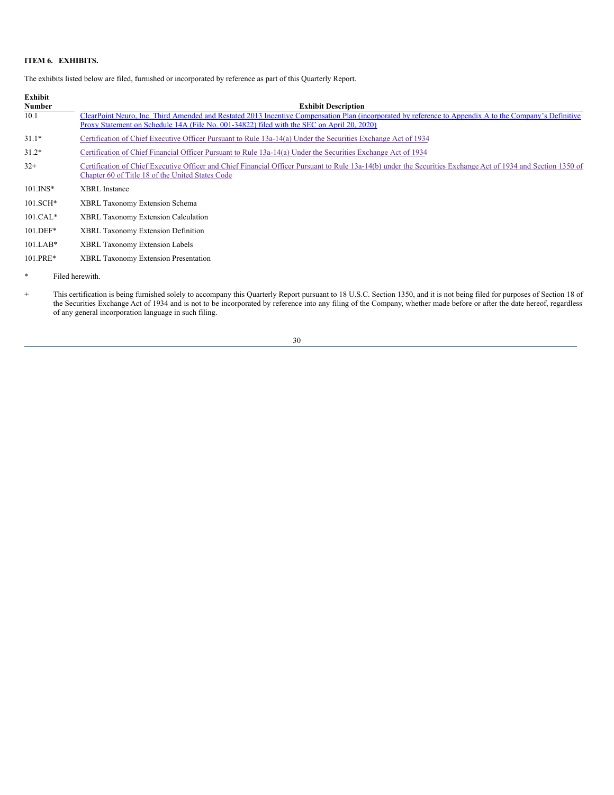# <span id="page-29-0"></span>**ITEM 6. EXHIBITS.**

The exhibits listed below are filed, furnished or incorporated by reference as part of this Quarterly Report.

| Exhibit       |                                                                                                                                                                                                                                                       |
|---------------|-------------------------------------------------------------------------------------------------------------------------------------------------------------------------------------------------------------------------------------------------------|
| <b>Number</b> | <b>Exhibit Description</b>                                                                                                                                                                                                                            |
| 10.1          | ClearPoint Neuro, Inc. Third Amended and Restated 2013 Incentive Compensation Plan (incorporated by reference to Appendix A to the Company's Definitive<br>Proxy Statement on Schedule 14A (File No. 001-34822) filed with the SEC on April 20, 2020) |
| $31.1*$       | Certification of Chief Executive Officer Pursuant to Rule 13a-14(a) Under the Securities Exchange Act of 1934                                                                                                                                         |
| $31.2*$       | Certification of Chief Financial Officer Pursuant to Rule 13a-14(a) Under the Securities Exchange Act of 1934                                                                                                                                         |
| $32+$         | Certification of Chief Executive Officer and Chief Financial Officer Pursuant to Rule 13a-14(b) under the Securities Exchange Act of 1934 and Section 1350 of<br>Chapter 60 of Title 18 of the United States Code                                     |
| $101$ . INS*  | <b>XBRL</b> Instance                                                                                                                                                                                                                                  |
| $101.SCH*$    | XBRL Taxonomy Extension Schema                                                                                                                                                                                                                        |
| $101.CAL*$    | <b>XBRL Taxonomy Extension Calculation</b>                                                                                                                                                                                                            |
| $101.DEF*$    | <b>XBRL Taxonomy Extension Definition</b>                                                                                                                                                                                                             |
| $101.LAB*$    | <b>XBRL Taxonomy Extension Labels</b>                                                                                                                                                                                                                 |
| 101.PRE*      | <b>XBRL Taxonomy Extension Presentation</b>                                                                                                                                                                                                           |
|               |                                                                                                                                                                                                                                                       |

\* Filed herewith.

+ This certification is being furnished solely to accompany this Quarterly Report pursuant to 18 U.S.C. Section 1350, and it is not being filed for purposes of Section 18 of the Securities Exchange Act of 1934 and is not to be incorporated by reference into any filing of the Company, whether made before or after the date hereof, regardless of any general incorporation language in such filing.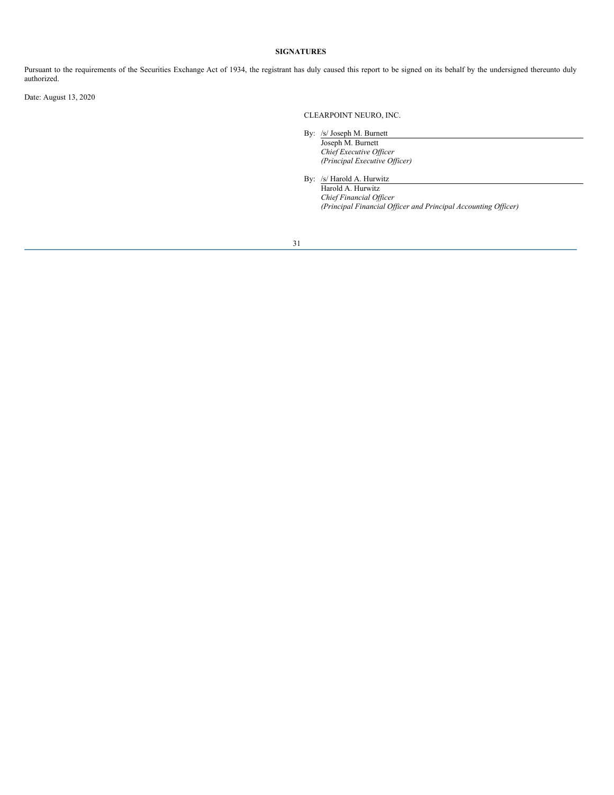# **SIGNATURES**

<span id="page-30-0"></span>Pursuant to the requirements of the Securities Exchange Act of 1934, the registrant has duly caused this report to be signed on its behalf by the undersigned thereunto duly authorized.

Date: August 13, 2020

CLEARPOINT NEURO, INC.

By: /s/ Joseph M. Burnett

Joseph M. Burnett *Chief Executive Of icer (Principal Executive Of icer)*

By: /s/ Harold A. Hurwitz Harold A. Hurwitz *Chief Financial Of icer (Principal Financial Of icer and Principal Accounting Of icer)*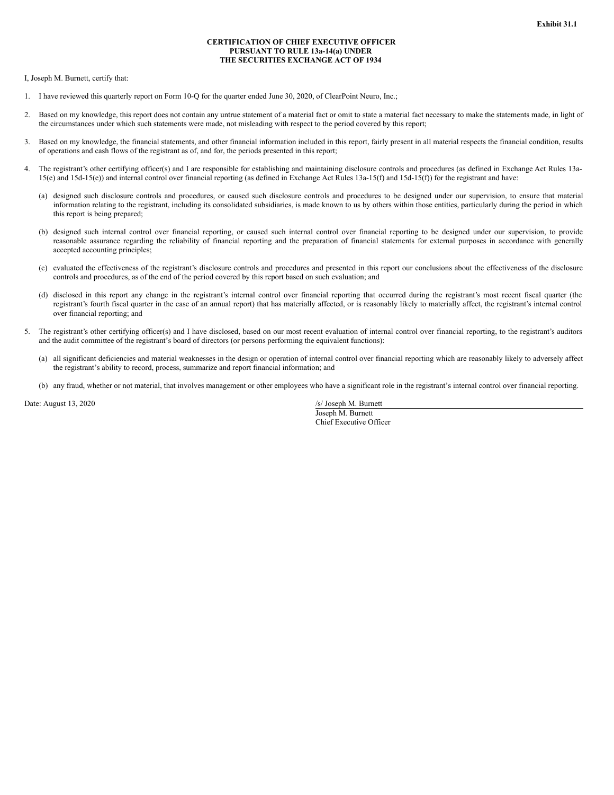### **CERTIFICATION OF CHIEF EXECUTIVE OFFICER PURSUANT TO RULE 13a-14(a) UNDER THE SECURITIES EXCHANGE ACT OF 1934**

<span id="page-31-0"></span>I, Joseph M. Burnett, certify that:

- 1. I have reviewed this quarterly report on Form 10-Q for the quarter ended June 30, 2020, of ClearPoint Neuro, Inc.;
- 2. Based on my knowledge, this report does not contain any untrue statement of a material fact or omit to state a material fact necessary to make the statements made, in light of the circumstances under which such statements were made, not misleading with respect to the period covered by this report;
- 3. Based on my knowledge, the financial statements, and other financial information included in this report, fairly present in all material respects the financial condition, results of operations and cash flows of the registrant as of, and for, the periods presented in this report;
- 4. The registrant's other certifying officer(s) and I are responsible for establishing and maintaining disclosure controls and procedures (as defined in Exchange Act Rules 13a-15(e) and 15d-15(e)) and internal control over financial reporting (as defined in Exchange Act Rules 13a-15(f) and 15d-15(f)) for the registrant and have:
	- (a) designed such disclosure controls and procedures, or caused such disclosure controls and procedures to be designed under our supervision, to ensure that material information relating to the registrant, including its consolidated subsidiaries, is made known to us by others within those entities, particularly during the period in which this report is being prepared;
	- (b) designed such internal control over financial reporting, or caused such internal control over financial reporting to be designed under our supervision, to provide reasonable assurance regarding the reliability of financial reporting and the preparation of financial statements for external purposes in accordance with generally accepted accounting principles;
	- (c) evaluated the effectiveness of the registrant's disclosure controls and procedures and presented in this report our conclusions about the effectiveness of the disclosure controls and procedures, as of the end of the period covered by this report based on such evaluation; and
	- (d) disclosed in this report any change in the registrant's internal control over financial reporting that occurred during the registrant's most recent fiscal quarter (the registrant's fourth fiscal quarter in the case of an annual report) that has materially affected, or is reasonably likely to materially affect, the registrant's internal control over financial reporting; and
- 5. The registrant's other certifying officer(s) and I have disclosed, based on our most recent evaluation of internal control over financial reporting, to the registrant's auditors and the audit committee of the registrant's board of directors (or persons performing the equivalent functions):
	- (a) all significant deficiencies and material weaknesses in the design or operation of internal control over financial reporting which are reasonably likely to adversely affect the registrant's ability to record, process, summarize and report financial information; and
	- (b) any fraud, whether or not material, that involves management or other employees who have a significant role in the registrant's internal control over financial reporting.

Date: August 13, 2020 /s/ Joseph M. Burnett Joseph M. Burnett Chief Executive Officer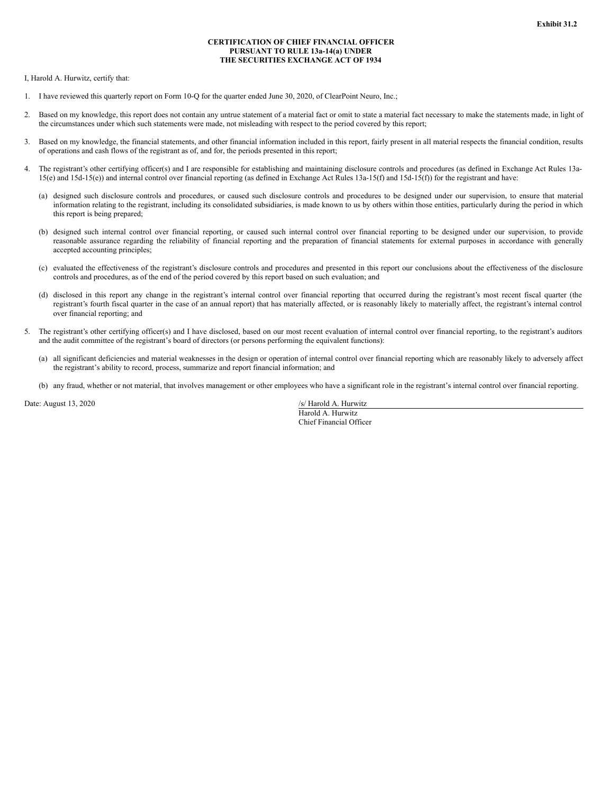### **CERTIFICATION OF CHIEF FINANCIAL OFFICER PURSUANT TO RULE 13a-14(a) UNDER THE SECURITIES EXCHANGE ACT OF 1934**

<span id="page-32-0"></span>I, Harold A. Hurwitz, certify that:

- 1. I have reviewed this quarterly report on Form 10-Q for the quarter ended June 30, 2020, of ClearPoint Neuro, Inc.;
- 2. Based on my knowledge, this report does not contain any untrue statement of a material fact or omit to state a material fact necessary to make the statements made, in light of the circumstances under which such statements were made, not misleading with respect to the period covered by this report;
- 3. Based on my knowledge, the financial statements, and other financial information included in this report, fairly present in all material respects the financial condition, results of operations and cash flows of the registrant as of, and for, the periods presented in this report;
- 4. The registrant's other certifying officer(s) and I are responsible for establishing and maintaining disclosure controls and procedures (as defined in Exchange Act Rules 13a-15(e) and 15d-15(e)) and internal control over financial reporting (as defined in Exchange Act Rules 13a-15(f) and 15d-15(f)) for the registrant and have:
	- (a) designed such disclosure controls and procedures, or caused such disclosure controls and procedures to be designed under our supervision, to ensure that material information relating to the registrant, including its consolidated subsidiaries, is made known to us by others within those entities, particularly during the period in which this report is being prepared;
	- (b) designed such internal control over financial reporting, or caused such internal control over financial reporting to be designed under our supervision, to provide reasonable assurance regarding the reliability of financial reporting and the preparation of financial statements for external purposes in accordance with generally accepted accounting principles;
	- (c) evaluated the effectiveness of the registrant's disclosure controls and procedures and presented in this report our conclusions about the effectiveness of the disclosure controls and procedures, as of the end of the period covered by this report based on such evaluation; and
	- (d) disclosed in this report any change in the registrant's internal control over financial reporting that occurred during the registrant's most recent fiscal quarter (the registrant's fourth fiscal quarter in the case of an annual report) that has materially affected, or is reasonably likely to materially affect, the registrant's internal control over financial reporting; and
- 5. The registrant's other certifying officer(s) and I have disclosed, based on our most recent evaluation of internal control over financial reporting, to the registrant's auditors and the audit committee of the registrant's board of directors (or persons performing the equivalent functions):
	- (a) all significant deficiencies and material weaknesses in the design or operation of internal control over financial reporting which are reasonably likely to adversely affect the registrant's ability to record, process, summarize and report financial information; and
	- (b) any fraud, whether or not material, that involves management or other employees who have a significant role in the registrant's internal control over financial reporting.

Date: August 13, 2020 /s/ Harold A. Hurwitz Harold A. Hurwitz Chief Financial Officer